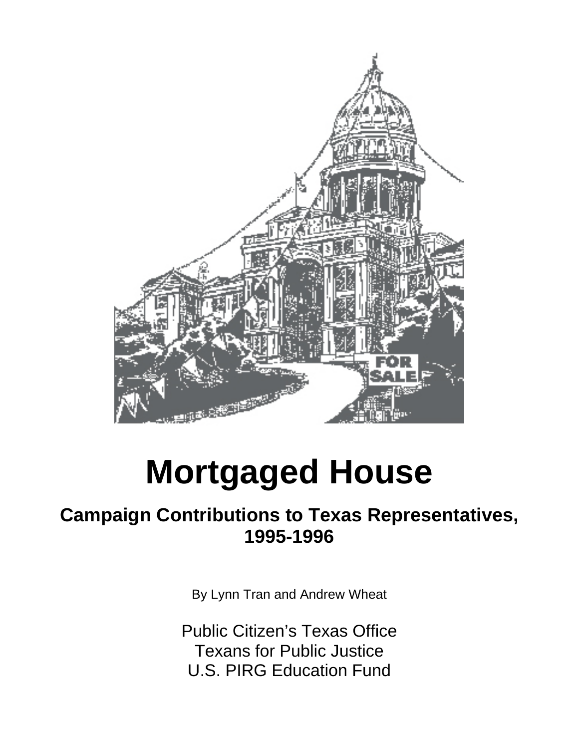

# **Mortgaged House**

## **Campaign Contributions to Texas Representatives, 1995-1996**

By Lynn Tran and Andrew Wheat

Public Citizen's Texas Office Texans for Public Justice U.S. PIRG Education Fund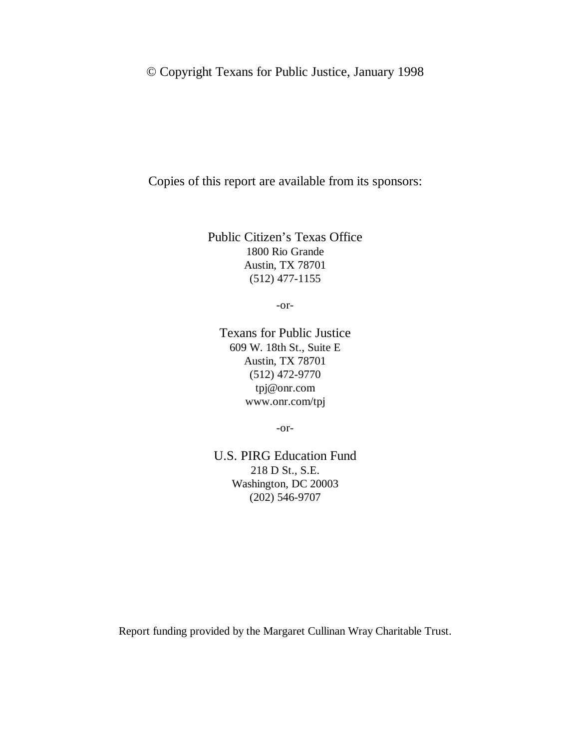#### © Copyright Texans for Public Justice, January 1998

Copies of this report are available from its sponsors:

Public Citizen's Texas Office 1800 Rio Grande Austin, TX 78701 (512) 477-1155

-or-

Texans for Public Justice 609 W. 18th St., Suite E Austin, TX 78701 (512) 472-9770 tpj@onr.com www.onr.com/tpj

-or-

U.S. PIRG Education Fund 218 D St., S.E. Washington, DC 20003 (202) 546-9707

Report funding provided by the Margaret Cullinan Wray Charitable Trust.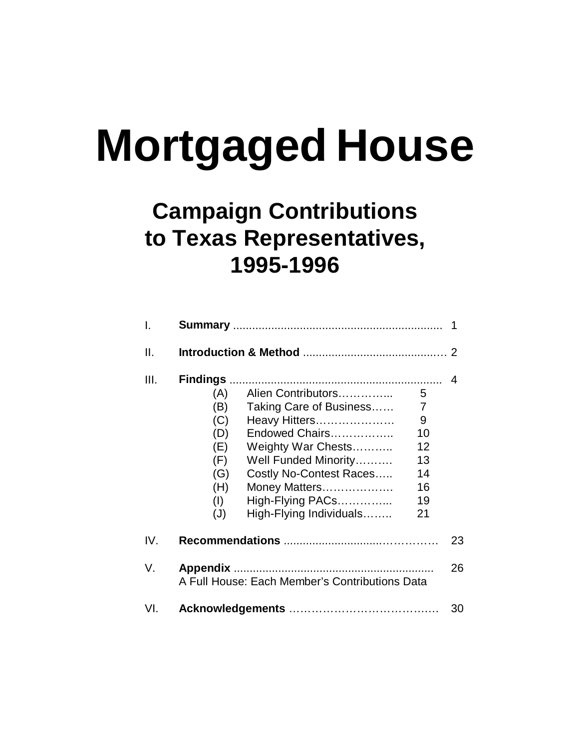# **Mortgaged House**

# **Campaign Contributions to Texas Representatives, 1995-1996**

| I.   |                                                                    |                                                                                                                                                                                                                                                                                    |    |
|------|--------------------------------------------------------------------|------------------------------------------------------------------------------------------------------------------------------------------------------------------------------------------------------------------------------------------------------------------------------------|----|
| ΙΙ.  |                                                                    |                                                                                                                                                                                                                                                                                    |    |
| III. | (A)<br>(B)<br>(C)<br>(D)<br>(E)<br>(F)<br>(G)<br>(H)<br>(1)<br>(J) | Alien Contributors<br>5<br>Taking Care of Business<br>7<br>Heavy Hitters<br>9<br>Endowed Chairs<br>10<br>12<br>Weighty War Chests<br>Well Funded Minority<br>13<br>Costly No-Contest Races<br>14<br>16<br>Money Matters<br>High-Flying PACs<br>19<br>High-Flying Individuals<br>21 | 4  |
| IV.  |                                                                    |                                                                                                                                                                                                                                                                                    | 23 |
| V.   |                                                                    | A Full House: Each Member's Contributions Data                                                                                                                                                                                                                                     | 26 |
| VI.  |                                                                    |                                                                                                                                                                                                                                                                                    | 30 |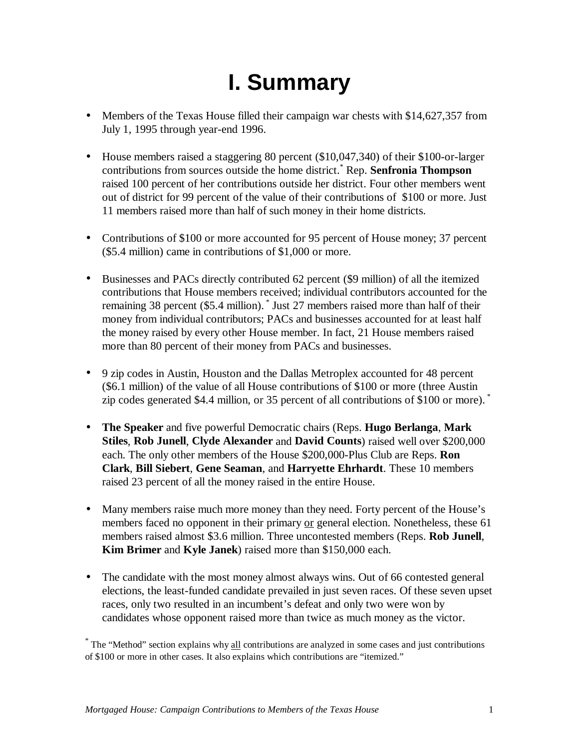# **I. Summary**

- Members of the Texas House filled their campaign war chests with \$14,627,357 from July 1, 1995 through year-end 1996.
- House members raised a staggering 80 percent (\$10,047,340) of their \$100-or-larger contributions from sources outside the home district.\* Rep. **Senfronia Thompson** raised 100 percent of her contributions outside her district. Four other members went out of district for 99 percent of the value of their contributions of \$100 or more. Just 11 members raised more than half of such money in their home districts.
- Contributions of \$100 or more accounted for 95 percent of House money; 37 percent (\$5.4 million) came in contributions of \$1,000 or more.
- Businesses and PACs directly contributed 62 percent (\$9 million) of all the itemized contributions that House members received; individual contributors accounted for the remaining 38 percent (\$5.4 million). \* Just 27 members raised more than half of their money from individual contributors; PACs and businesses accounted for at least half the money raised by every other House member. In fact, 21 House members raised more than 80 percent of their money from PACs and businesses.
- 9 zip codes in Austin, Houston and the Dallas Metroplex accounted for 48 percent (\$6.1 million) of the value of all House contributions of \$100 or more (three Austin zip codes generated \$4.4 million, or 35 percent of all contributions of \$100 or more). \*
- **The Speaker** and five powerful Democratic chairs (Reps. **Hugo Berlanga**, **Mark Stiles**, **Rob Junell**, **Clyde Alexander** and **David Counts**) raised well over \$200,000 each. The only other members of the House \$200,000-Plus Club are Reps. **Ron Clark**, **Bill Siebert**, **Gene Seaman**, and **Harryette Ehrhardt**. These 10 members raised 23 percent of all the money raised in the entire House.
- Many members raise much more money than they need. Forty percent of the House's members faced no opponent in their primary or general election. Nonetheless, these 61 members raised almost \$3.6 million. Three uncontested members (Reps. **Rob Junell**, **Kim Brimer** and **Kyle Janek**) raised more than \$150,000 each.
- The candidate with the most money almost always wins. Out of 66 contested general elections, the least-funded candidate prevailed in just seven races. Of these seven upset races, only two resulted in an incumbent's defeat and only two were won by candidates whose opponent raised more than twice as much money as the victor.

<sup>&</sup>lt;sup>\*</sup> The "Method" section explains why all contributions are analyzed in some cases and just contributions of \$100 or more in other cases. It also explains which contributions are "itemized."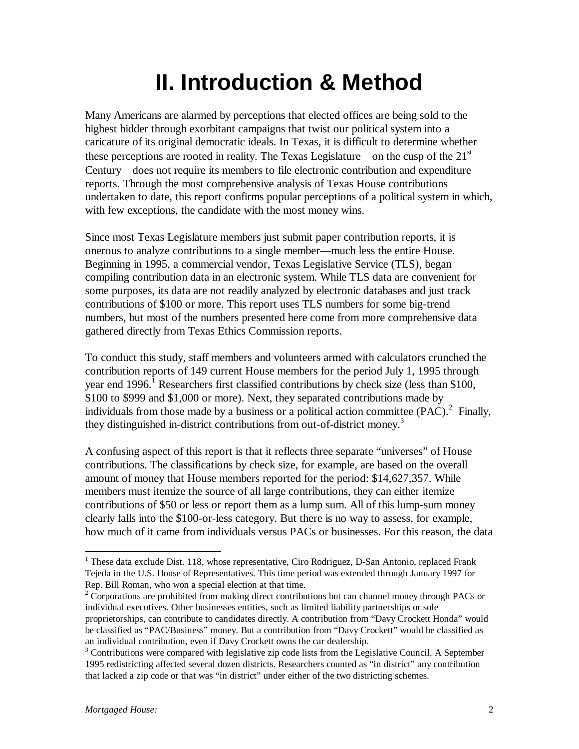# **II. Introduction & Method**

Many Americans are alarmed by perceptions that elected offices are being sold to the highest bidder through exorbitant campaigns that twist our political system into a caricature of its original democratic ideals. In Texas, it is difficult to determine whether these perceptions are rooted in reality. The Texas Legislature—on the cusp of the  $21<sup>st</sup>$ Century—does not require its members to file electronic contribution and expenditure reports. Through the most comprehensive analysis of Texas House contributions undertaken to date, this report confirms popular perceptions of a political system in which, with few exceptions, the candidate with the most money wins.

Since most Texas Legislature members just submit paper contribution reports, it is onerous to analyze contributions to a single member—much less the entire House. Beginning in 1995, a commercial vendor, Texas Legislative Service (TLS), began compiling contribution data in an electronic system. While TLS data are convenient for some purposes, its data are not readily analyzed by electronic databases and just track contributions of \$100 or more. This report uses TLS numbers for some big-trend numbers, but most of the numbers presented here come from more comprehensive data gathered directly from Texas Ethics Commission reports.

To conduct this study, staff members and volunteers armed with calculators crunched the contribution reports of 149 current House members for the period July 1, 1995 through year end 1996.<sup>1</sup> Researchers first classified contributions by check size (less than \$100, \$100 to \$999 and \$1,000 or more). Next, they separated contributions made by individuals from those made by a business or a political action committee  $(PAC)$ .<sup>2</sup> Finally, they distinguished in-district contributions from out-of-district money.<sup>3</sup>

A confusing aspect of this report is that it reflects three separate "universes" of House contributions. The classifications by check size, for example, are based on the overall amount of money that House members reported for the period: \$14,627,357. While members must itemize the source of all large contributions, they can either itemize contributions of \$50 or less or report them as a lump sum. All of this lump-sum money clearly falls into the \$100-or-less category. But there is no way to assess, for example, how much of it came from individuals versus PACs or businesses. For this reason, the data

 $\overline{a}$ 

<sup>&</sup>lt;sup>1</sup> These data exclude Dist. 118, whose representative, Ciro Rodriguez, D-San Antonio, replaced Frank Tejeda in the U.S. House of Representatives. This time period was extended through January 1997 for Rep. Bill Roman, who won a special election at that time.

 $2^2$  Corporations are prohibited from making direct contributions but can channel money through PACs or individual executives. Other businesses entities, such as limited liability partnerships or sole proprietorships, can contribute to candidates directly. A contribution from "Davy Crockett Honda" would be classified as "PAC/Business" money. But a contribution from "Davy Crockett" would be classified as an individual contribution, even if Davy Crockett owns the car dealership.

 $3$  Contributions were compared with legislative zip code lists from the Legislative Council. A September 1995 redistricting affected several dozen districts. Researchers counted as "in district" any contribution that lacked a zip code or that was "in district" under either of the two districting schemes.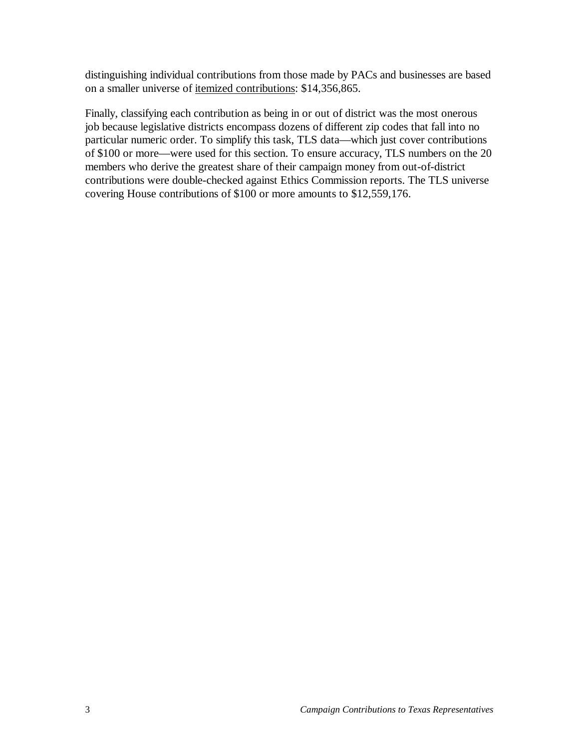distinguishing individual contributions from those made by PACs and businesses are based on a smaller universe of itemized contributions: \$14,356,865.

Finally, classifying each contribution as being in or out of district was the most onerous job because legislative districts encompass dozens of different zip codes that fall into no particular numeric order. To simplify this task, TLS data—which just cover contributions of \$100 or more—were used for this section. To ensure accuracy, TLS numbers on the 20 members who derive the greatest share of their campaign money from out-of-district contributions were double-checked against Ethics Commission reports. The TLS universe covering House contributions of \$100 or more amounts to \$12,559,176.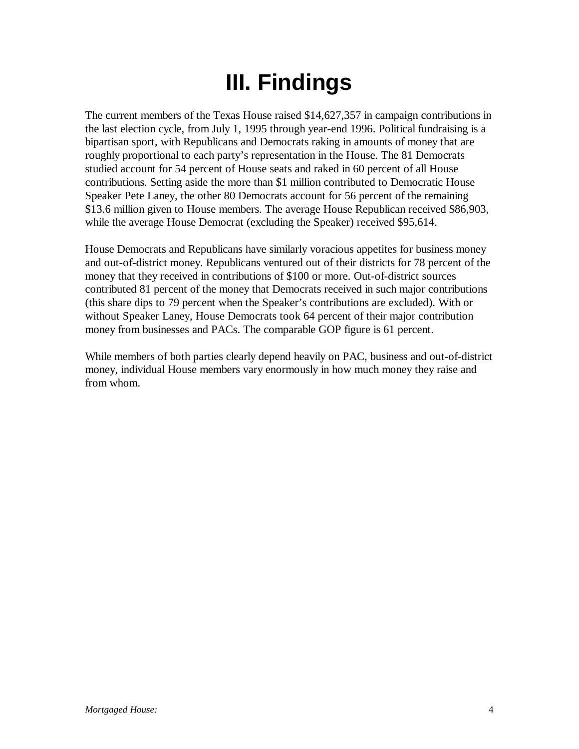# **III. Findings**

The current members of the Texas House raised \$14,627,357 in campaign contributions in the last election cycle, from July 1, 1995 through year-end 1996. Political fundraising is a bipartisan sport, with Republicans and Democrats raking in amounts of money that are roughly proportional to each party's representation in the House. The 81 Democrats studied account for 54 percent of House seats and raked in 60 percent of all House contributions. Setting aside the more than \$1 million contributed to Democratic House Speaker Pete Laney, the other 80 Democrats account for 56 percent of the remaining \$13.6 million given to House members. The average House Republican received \$86,903, while the average House Democrat (excluding the Speaker) received \$95,614.

House Democrats and Republicans have similarly voracious appetites for business money and out-of-district money. Republicans ventured out of their districts for 78 percent of the money that they received in contributions of \$100 or more. Out-of-district sources contributed 81 percent of the money that Democrats received in such major contributions (this share dips to 79 percent when the Speaker's contributions are excluded). With or without Speaker Laney, House Democrats took 64 percent of their major contribution money from businesses and PACs. The comparable GOP figure is 61 percent.

While members of both parties clearly depend heavily on PAC, business and out-of-district money, individual House members vary enormously in how much money they raise and from whom.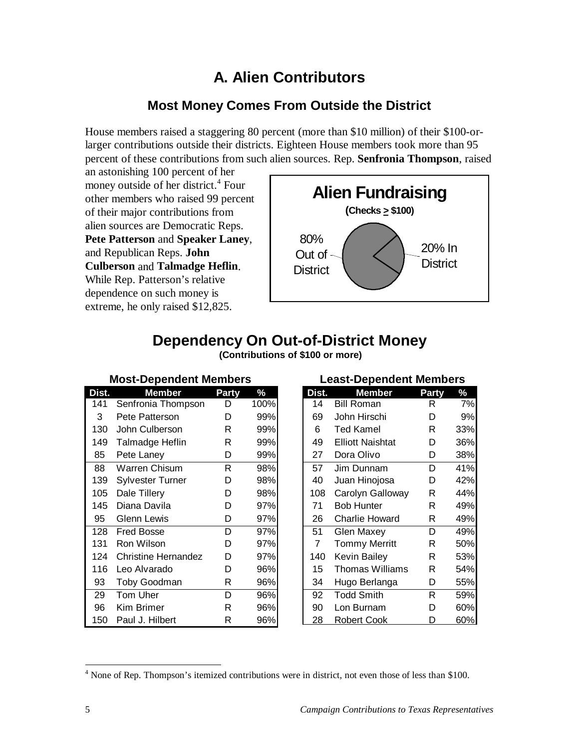#### **A. Alien Contributors**

#### **Most Money Comes From Outside the District**

House members raised a staggering 80 percent (more than \$10 million) of their \$100-orlarger contributions outside their districts. Eighteen House members took more than 95 percent of these contributions from such alien sources. Rep. **Senfronia Thompson**, raised

an astonishing 100 percent of her money outside of her district.<sup>4</sup> Four other members who raised 99 percent of their major contributions from alien sources are Democratic Reps. **Pete Patterson** and **Speaker Laney**, and Republican Reps. **John Culberson** and **Talmadge Heflin**. While Rep. Patterson's relative dependence on such money is extreme, he only raised \$12,825.



## **Dependency On Out-of-District Money**

| <b>Most-Dependent Members</b> |                            |              |      |  |  |  |
|-------------------------------|----------------------------|--------------|------|--|--|--|
| Dist.                         | Member                     | <b>Party</b> | $\%$ |  |  |  |
| 141                           | Senfronia Thompson         | D            | 100% |  |  |  |
| 3                             | Pete Patterson             | D            | 99%  |  |  |  |
| 130                           | John Culberson             | R            | 99%  |  |  |  |
| 149                           | Talmadge Heflin            | R            | 99%  |  |  |  |
| 85                            | Pete Laney                 | D            | 99%  |  |  |  |
| 88                            | Warren Chisum              | R.           | 98%  |  |  |  |
| 139                           | Sylvester Turner           | D            | 98%  |  |  |  |
| 105                           | Dale Tillery               | D            | 98%  |  |  |  |
| 145                           | Diana Davila               | D            | 97%  |  |  |  |
| 95                            | <b>Glenn Lewis</b>         | D            | 97%  |  |  |  |
| 128                           | Fred Bosse                 | D            | 97%  |  |  |  |
| 131                           | Ron Wilson                 | D            | 97%  |  |  |  |
| 124                           | <b>Christine Hernandez</b> | D            | 97%  |  |  |  |
| 116                           | Leo Alvarado               | D            | 96%  |  |  |  |
| 93                            | <b>Toby Goodman</b>        | R            | 96%  |  |  |  |
| 29                            | Tom Uher                   | D            | 96%  |  |  |  |
| 96                            | Kim Brimer                 | R            | 96%  |  |  |  |
| 150                           | Paul J. Hilbert            | R            | 96%  |  |  |  |

 **(Contributions of \$100 or more)**

| <b>Least-Dependent Members</b> |                         |              |     |  |  |  |
|--------------------------------|-------------------------|--------------|-----|--|--|--|
| Dist.                          | <b>Member</b>           | <b>Party</b> | ℅   |  |  |  |
| 14                             | <b>Bill Roman</b>       | R            | 7%  |  |  |  |
| 69                             | John Hirschi            | D            | 9%  |  |  |  |
| 6                              | Ted Kamel               | R            | 33% |  |  |  |
| 49                             | <b>Elliott Naishtat</b> | D            | 36% |  |  |  |
| 27                             | Dora Olivo              | D            | 38% |  |  |  |
| 57                             | Jim Dunnam              | D            | 41% |  |  |  |
| 40                             | Juan Hinojosa           | D            | 42% |  |  |  |
| 108                            | Carolyn Galloway        | R            | 44% |  |  |  |
| 71                             | <b>Bob Hunter</b>       | R            | 49% |  |  |  |
| 26                             | Charlie Howard          | R            | 49% |  |  |  |
| 51                             | Glen Maxey              | D            | 49% |  |  |  |
| $\overline{7}$                 | <b>Tommy Merritt</b>    | R            | 50% |  |  |  |
| 140                            | Kevin Bailey            | R            | 53% |  |  |  |
| 15                             | Thomas Williams         | R            | 54% |  |  |  |
| 34                             | Hugo Berlanga           | D            | 55% |  |  |  |
| 92                             | <b>Todd Smith</b>       | R.           | 59% |  |  |  |
| 90                             | Lon Burnam              | D            | 60% |  |  |  |
| 28                             | <u>Robert Cook</u>      |              | 60% |  |  |  |

 $\overline{a}$ 

<sup>&</sup>lt;sup>4</sup> None of Rep. Thompson's itemized contributions were in district, not even those of less than \$100.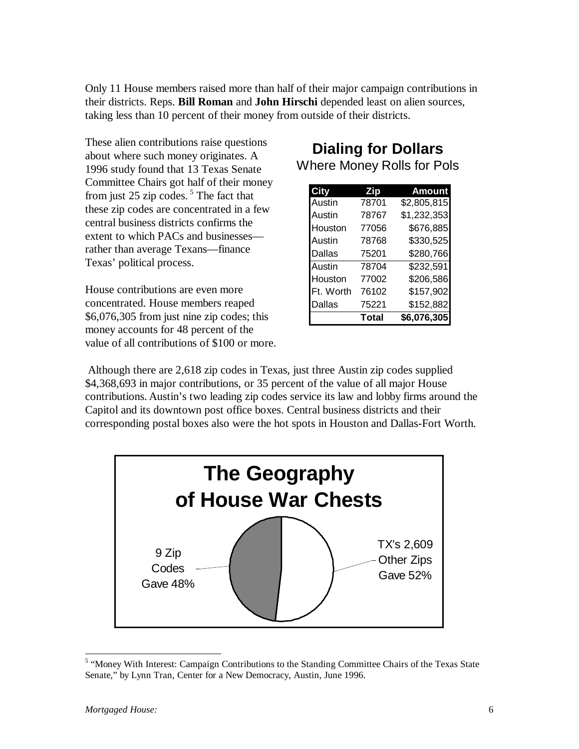Only 11 House members raised more than half of their major campaign contributions in their districts. Reps. **Bill Roman** and **John Hirschi** depended least on alien sources, taking less than 10 percent of their money from outside of their districts.

These alien contributions raise questions about where such money originates. A 1996 study found that 13 Texas Senate Committee Chairs got half of their money from just 25 zip codes. 5 The fact that these zip codes are concentrated in a few central business districts confirms the extent to which PACs and businesses rather than average Texans—finance Texas' political process.

House contributions are even more concentrated. House members reaped \$6,076,305 from just nine zip codes; this money accounts for 48 percent of the value of all contributions of \$100 or more.

#### **Dialing for Dollars** Where Money Rolls for Pols

| City      | Zip   | <b>Amount</b> |
|-----------|-------|---------------|
| Austin    | 78701 | \$2,805,815   |
| Austin    | 78767 | \$1,232,353   |
| Houston   | 77056 | \$676,885     |
| Austin    | 78768 | \$330,525     |
| Dallas    | 75201 | \$280,766     |
| Austin    | 78704 | \$232,591     |
| Houston   | 77002 | \$206,586     |
| Ft. Worth | 76102 | \$157,902     |
| Dallas    | 75221 | \$152,882     |
|           | Total | \$6,076,305   |

 Although there are 2,618 zip codes in Texas, just three Austin zip codes supplied \$4,368,693 in major contributions, or 35 percent of the value of all major House contributions. Austin's two leading zip codes service its law and lobby firms around the Capitol and its downtown post office boxes. Central business districts and their corresponding postal boxes also were the hot spots in Houston and Dallas-Fort Worth.



<sup>&</sup>lt;sup>5</sup> "Money With Interest: Campaign Contributions to the Standing Committee Chairs of the Texas State Senate," by Lynn Tran, Center for a New Democracy, Austin, June 1996.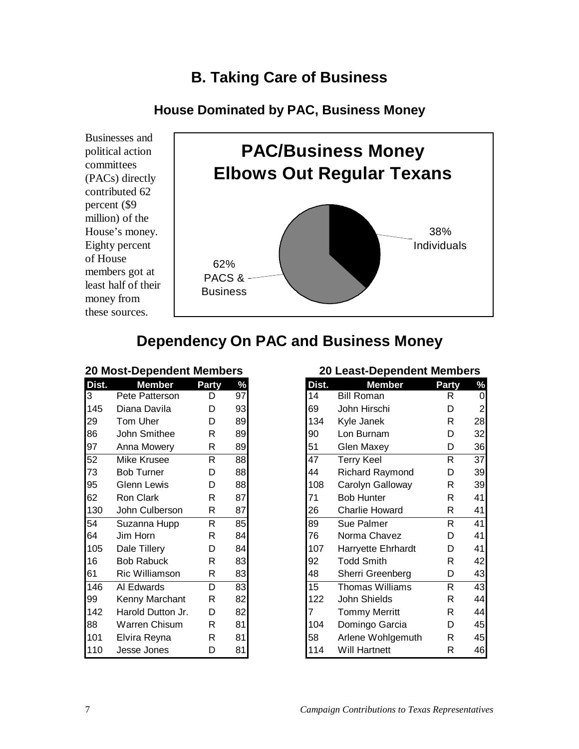#### **B. Taking Care of Business**

#### **House Dominated by PAC, Business Money**

Businesses and political action committees (PACs) directly contributed 62 percent (\$9 million) of the House's money. Eighty percent of House members got at least half of their money from these sources.



#### **Dependency On PAC and Business Money**

#### **20 Most-Dependent Members**

| Dist. | <b>Member</b>        | <b>Party</b> | $\frac{9}{6}$ |
|-------|----------------------|--------------|---------------|
| 3     | Pete Patterson       | D            | 97            |
| 145   | Diana Davila         | D            | 93            |
| 29    | Tom Uher             | D            | 89            |
| 86    | John Smithee         | R            | 89            |
| 97    | Anna Mowery          | R            | 89            |
| 52    | <b>Mike Krusee</b>   | R            | 88            |
| 73    | Bob Turner           | D            | 88            |
| 95    | <b>Glenn Lewis</b>   | D            | 88            |
| 62    | <b>Ron Clark</b>     | R            | 87            |
| 130   | John Culberson       | R            | 87            |
| 54    | Suzanna Hupp         | R.           | 85            |
| 64    | Jim Horn             | R            | 84            |
| 105   | Dale Tillery         | D            | 84            |
| 16    | <b>Bob Rabuck</b>    | R            | 83            |
| 61    | Ric Williamson       | R            | 83            |
| 146   | AI Edwards           | D            | 83            |
| 99    | Kenny Marchant       | R            | 82            |
| 142   | Harold Dutton Jr.    | D            | 82            |
| 88    | <b>Warren Chisum</b> | R            | 81            |
| 101   | Elvira Reyna         | R            | 81            |
| 110   | <b>Jesse Jones</b>   | D            | 81            |

#### **20 Least-Dependent Members**

| Dist. | <b>Member</b>          | <b>Party</b> | $\frac{0}{6}$  |
|-------|------------------------|--------------|----------------|
| 14    | <b>Bill Roman</b>      | R            | 0              |
| 69    | John Hirschi           | D            | $\overline{c}$ |
| 134   | Kyle Janek             | R            | 28             |
| 90    | Lon Burnam             | D            | 32             |
| 51    | Glen Maxey             | D            | 36             |
| 47    | <b>Terry Keel</b>      | R            | 37             |
| 44    | <b>Richard Raymond</b> | D            | 39             |
| 108   | Carolyn Galloway       | R            | 39             |
| 71    | <b>Bob Hunter</b>      | R            | 41             |
| 26    | <b>Charlie Howard</b>  | R            | 41             |
| 89    | <b>Sue Palmer</b>      | R            | 41             |
| 76    | Norma Chavez           | D            | 41             |
| 107   | Harryette Ehrhardt     | D            | 41             |
| 92    | <b>Todd Smith</b>      | R            | 42             |
| 48    | Sherri Greenberg       | D            | 43             |
| 15    | <b>Thomas Williams</b> | R            | 43             |
| 122   | John Shields           | R            | 44             |
| 7     | <b>Tommy Merritt</b>   | R            | 44             |
| 104   | Domingo Garcia         | D            | 45             |
| 58    | Arlene Wohlgemuth      | R            | 45             |
| 114   | Will Hartnett          | R            | 46             |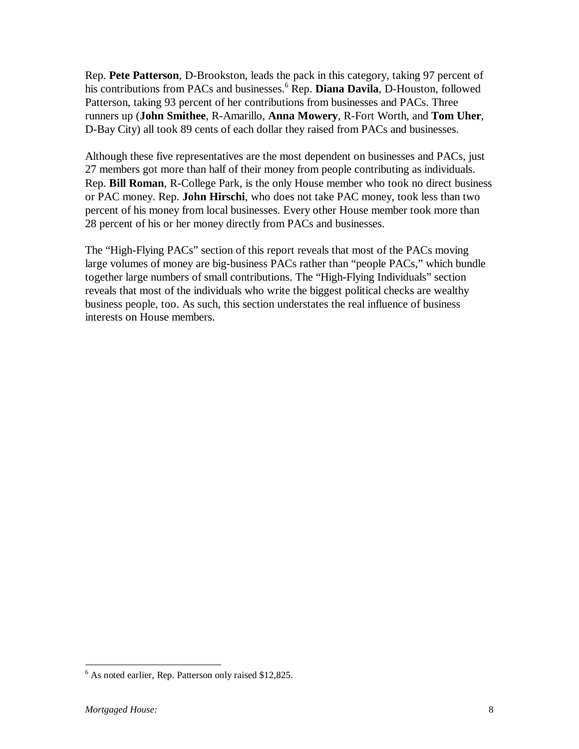Rep. **Pete Patterson**, D-Brookston, leads the pack in this category, taking 97 percent of his contributions from PACs and businesses.<sup>6</sup> Rep. **Diana Davila**, D-Houston, followed Patterson, taking 93 percent of her contributions from businesses and PACs. Three runners up (**John Smithee**, R-Amarillo, **Anna Mowery**, R-Fort Worth, and **Tom Uher**, D-Bay City) all took 89 cents of each dollar they raised from PACs and businesses.

Although these five representatives are the most dependent on businesses and PACs, just 27 members got more than half of their money from people contributing as individuals. Rep. **Bill Roman**, R-College Park, is the only House member who took no direct business or PAC money. Rep. **John Hirschi**, who does not take PAC money, took less than two percent of his money from local businesses. Every other House member took more than 28 percent of his or her money directly from PACs and businesses.

The "High-Flying PACs" section of this report reveals that most of the PACs moving large volumes of money are big-business PACs rather than "people PACs," which bundle together large numbers of small contributions. The "High-Flying Individuals" section reveals that most of the individuals who write the biggest political checks are wealthy business people, too. As such, this section understates the real influence of business interests on House members.

 $\overline{a}$ 

<sup>&</sup>lt;sup>6</sup> As noted earlier, Rep. Patterson only raised \$12,825.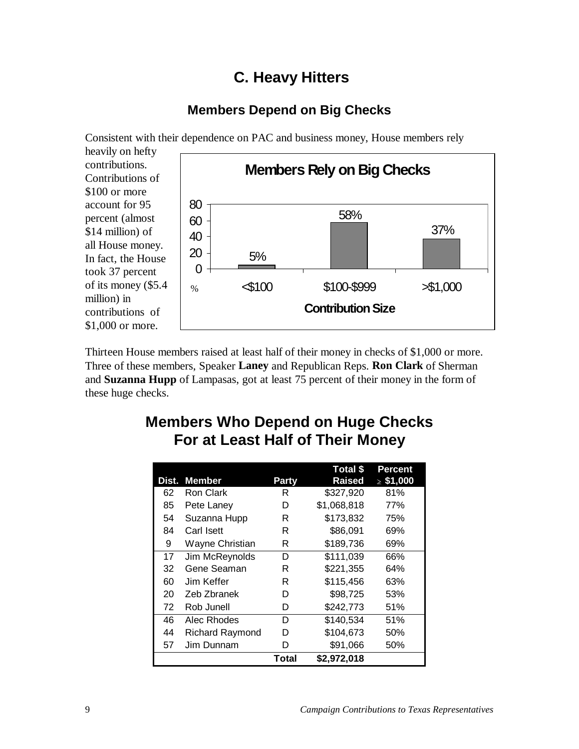#### **C. Heavy Hitters**

#### **Members Depend on Big Checks**

Consistent with their dependence on PAC and business money, House members rely heavily on hefty contributions. Contributions of \$100 or more account for 95 percent (almost \$14 million) of all House money. In fact, the House took 37 percent of its money (\$5.4 million) in contributions of \$1,000 or more. **Members Rely on Big Checks** 37% 58% 5% 0 20 40 60 80  $\leq 100$  \$100-\$999  $\geq$ \$1,000 **Contribution Size** %

Thirteen House members raised at least half of their money in checks of \$1,000 or more. Three of these members, Speaker **Laney** and Republican Reps. **Ron Clark** of Sherman and **Suzanna Hupp** of Lampasas, got at least 75 percent of their money in the form of these huge checks.

## **Members Who Depend on Huge Checks For at Least Half of Their Money**

|       |                        |              | Total \$      | <b>Percent</b> |
|-------|------------------------|--------------|---------------|----------------|
| Dist. | <b>Member</b>          | Party        | <b>Raised</b> | $\ge$ \$1,000  |
| 62    | Ron Clark              | R            | \$327,920     | 81%            |
| 85    | Pete Laney             | D            | \$1,068,818   | 77%            |
| 54    | Suzanna Hupp           | R            | \$173,832     | 75%            |
| 84    | Carl Isett             | R            | \$86,091      | 69%            |
| 9     | Wayne Christian        | R            | \$189,736     | 69%            |
| 17    | Jim McReynolds         | D            | \$111,039     | 66%            |
| 32    | Gene Seaman            | R            | \$221,355     | 64%            |
| 60    | Jim Keffer             | R            | \$115,456     | 63%            |
| 20    | Zeb Zbranek            | D            | \$98,725      | 53%            |
| 72    | Rob Junell             | D            | \$242,773     | 51%            |
| 46    | Alec Rhodes            | D            | \$140,534     | 51%            |
| 44    | <b>Richard Raymond</b> | D            | \$104,673     | 50%            |
| 57    | Jim Dunnam             | D            | \$91,066      | 50%            |
|       |                        | <b>Total</b> | \$2,972,018   |                |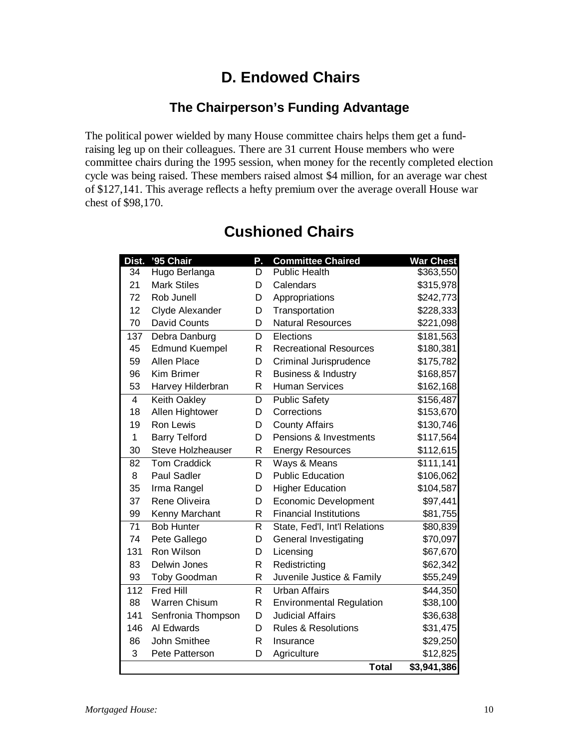## **D. Endowed Chairs**

#### **The Chairperson's Funding Advantage**

The political power wielded by many House committee chairs helps them get a fundraising leg up on their colleagues. There are 31 current House members who were committee chairs during the 1995 session, when money for the recently completed election cycle was being raised. These members raised almost \$4 million, for an average war chest of \$127,141. This average reflects a hefty premium over the average overall House war chest of \$98,170.

| Dist.          | '95 Chair                | Ρ. | <b>Committee Chaired</b>        | <b>War Chest</b>       |
|----------------|--------------------------|----|---------------------------------|------------------------|
| 34             | Hugo Berlanga            | D. | <b>Public Health</b>            | \$363,550              |
| 21             | <b>Mark Stiles</b>       | D  | Calendars                       | \$315,978              |
| 72             | Rob Junell               | D  | Appropriations                  | \$242,773              |
| 12             | Clyde Alexander          | D  | Transportation                  | \$228,333              |
| 70             | David Counts             | D  | <b>Natural Resources</b>        | \$221,098              |
| 137            | Debra Danburg            | D  | Elections                       | \$181,563              |
| 45             | <b>Edmund Kuempel</b>    | R  | <b>Recreational Resources</b>   | \$180,381              |
| 59             | <b>Allen Place</b>       | D  | Criminal Jurisprudence          | \$175,782              |
| 96             | Kim Brimer               | R  | <b>Business &amp; Industry</b>  | \$168,857              |
| 53             | Harvey Hilderbran        | R  | <b>Human Services</b>           | \$162,168              |
| $\overline{4}$ | <b>Keith Oakley</b>      | D  | <b>Public Safety</b>            | \$156,487              |
| 18             | Allen Hightower          | D  | Corrections                     | \$153,670              |
| 19             | <b>Ron Lewis</b>         | D  | <b>County Affairs</b>           | \$130,746              |
| $\mathbf{1}$   | <b>Barry Telford</b>     | D  | Pensions & Investments          | \$117,564              |
| 30             | <b>Steve Holzheauser</b> | R  | <b>Energy Resources</b>         | \$112,615              |
| 82             | <b>Tom Craddick</b>      | R  | Ways & Means                    | \$111, 141             |
| 8              | <b>Paul Sadler</b>       | D  | <b>Public Education</b>         | \$106,062              |
| 35             | Irma Rangel              | D  | <b>Higher Education</b>         | \$104,587              |
| 37             | Rene Oliveira            | D  | <b>Economic Development</b>     | \$97,441               |
| 99             | Kenny Marchant           | R  | <b>Financial Institutions</b>   | \$81,755               |
| 71             | <b>Bob Hunter</b>        | R  | State, Fed'l, Int'l Relations   | \$80,839               |
| 74             | Pete Gallego             | D  | General Investigating           | \$70,097               |
| 131            | Ron Wilson               | D  | Licensing                       | \$67,670               |
| 83             | Delwin Jones             | R  | Redistricting                   | \$62,342               |
| 93             | Toby Goodman             | R  | Juvenile Justice & Family       | \$55,249               |
| 112            | <b>Fred Hill</b>         | R  | <b>Urban Affairs</b>            | \$44,350               |
| 88             | <b>Warren Chisum</b>     | R  | <b>Environmental Regulation</b> | \$38,100               |
| 141            | Senfronia Thompson       | D  | <b>Judicial Affairs</b>         | \$36,638               |
| 146            | Al Edwards               | D  | <b>Rules &amp; Resolutions</b>  | \$31,475               |
| 86             | John Smithee             | R  | Insurance                       | \$29,250               |
| 3              | Pete Patterson           | D  | Agriculture                     | \$12,825               |
|                |                          |    | <b>Total</b>                    | $\overline{3,941,386}$ |

#### **Cushioned Chairs**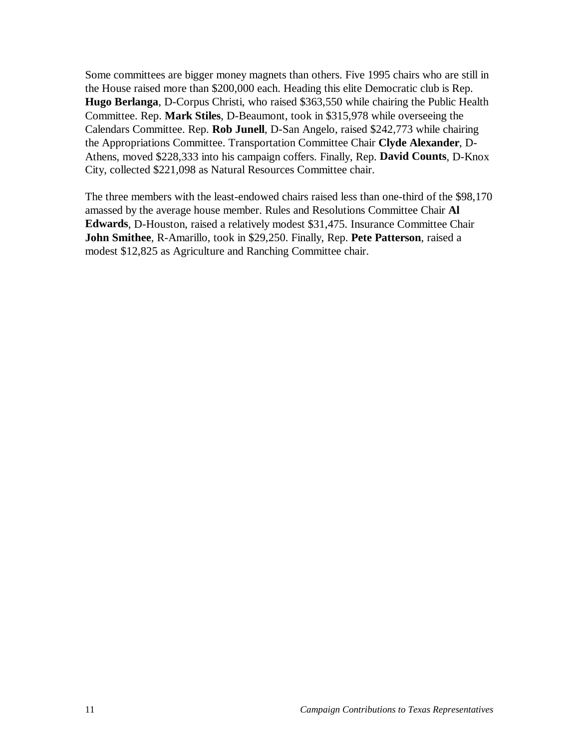Some committees are bigger money magnets than others. Five 1995 chairs who are still in the House raised more than \$200,000 each. Heading this elite Democratic club is Rep. **Hugo Berlanga**, D-Corpus Christi, who raised \$363,550 while chairing the Public Health Committee. Rep. **Mark Stiles**, D-Beaumont, took in \$315,978 while overseeing the Calendars Committee. Rep. **Rob Junell**, D-San Angelo, raised \$242,773 while chairing the Appropriations Committee. Transportation Committee Chair **Clyde Alexander**, D-Athens, moved \$228,333 into his campaign coffers. Finally, Rep. **David Counts**, D-Knox City, collected \$221,098 as Natural Resources Committee chair.

The three members with the least-endowed chairs raised less than one-third of the \$98,170 amassed by the average house member. Rules and Resolutions Committee Chair **Al Edwards**, D-Houston, raised a relatively modest \$31,475. Insurance Committee Chair **John Smithee**, R-Amarillo, took in \$29,250. Finally, Rep. **Pete Patterson**, raised a modest \$12,825 as Agriculture and Ranching Committee chair.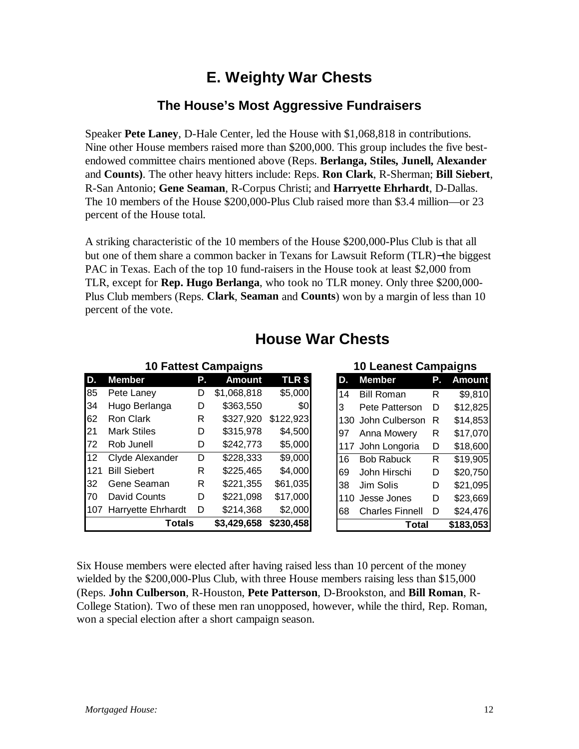#### **E. Weighty War Chests**

#### **The House's Most Aggressive Fundraisers**

Speaker **Pete Laney**, D-Hale Center, led the House with \$1,068,818 in contributions. Nine other House members raised more than \$200,000. This group includes the five bestendowed committee chairs mentioned above (Reps. **Berlanga, Stiles, Junell, Alexander** and **Counts)**. The other heavy hitters include: Reps. **Ron Clark**, R-Sherman; **Bill Siebert**, R-San Antonio; **Gene Seaman**, R-Corpus Christi; and **Harryette Ehrhardt**, D-Dallas. The 10 members of the House \$200,000-Plus Club raised more than \$3.4 million—or 23 percent of the House total.

A striking characteristic of the 10 members of the House \$200,000-Plus Club is that all but one of them share a common backer in Texans for Lawsuit Reform (TLR)−the biggest PAC in Texas. Each of the top 10 fund-raisers in the House took at least \$2,000 from TLR, except for **Rep. Hugo Berlanga**, who took no TLR money. Only three \$200,000- Plus Club members (Reps. **Clark**, **Seaman** and **Counts**) won by a margin of less than 10 percent of the vote.

|     | <b>10 Fattest Campaigns</b> |    |               |               |      | <b>10 Leanest Campaigns</b> |    |               |
|-----|-----------------------------|----|---------------|---------------|------|-----------------------------|----|---------------|
| D.  | <b>Member</b>               | Р. | <b>Amount</b> | <b>TLR \$</b> | D.   | <b>Member</b>               | Р. | <b>Amount</b> |
| 85  | Pete Laney                  | D  | \$1,068,818   | \$5,000       | 14   | <b>Bill Roman</b>           | R  | \$9,810       |
| 34  | Hugo Berlanga               | D  | \$363,550     | \$0           | 3    | Pete Patterson              | D  | \$12,825      |
| 62  | Ron Clark                   | R  | \$327,920     | \$122,923     | 130. | John Culberson              | R  | \$14,853      |
| 21  | <b>Mark Stiles</b>          | D  | \$315,978     | \$4,500       | 197  | Anna Mowery                 | R  | \$17,070      |
| 72  | Rob Junell                  | D  | \$242,773     | \$5,000       | 117  | John Longoria               | D  | \$18,600      |
| 12  | Clyde Alexander             | D  | \$228,333     | \$9,000       | 16   | <b>Bob Rabuck</b>           | R  | \$19,905      |
| 121 | <b>Bill Siebert</b>         | R  | \$225,465     | \$4,000       | 69   | John Hirschi                | D  | \$20,750      |
| 32  | Gene Seaman                 | R  | \$221,355     | \$61,035      | 38   | Jim Solis                   | D  | \$21,095      |
| 170 | David Counts                | D  | \$221,098     | \$17,000      | 110  | Jesse Jones                 | D  | \$23,669      |
| 107 | <b>Harryette Ehrhardt</b>   | D  | \$214,368     | \$2,000       | 68   | <b>Charles Finnell</b>      | D  | \$24,476      |
|     | <b>Totals</b>               |    | \$3,429,658   | \$230,458     |      | Total                       |    | \$183,053     |

#### **House War Chests**

Six House members were elected after having raised less than 10 percent of the money wielded by the \$200,000-Plus Club, with three House members raising less than \$15,000 (Reps. **John Culberson**, R-Houston, **Pete Patterson**, D-Brookston, and **Bill Roman**, R-College Station). Two of these men ran unopposed, however, while the third, Rep. Roman, won a special election after a short campaign season.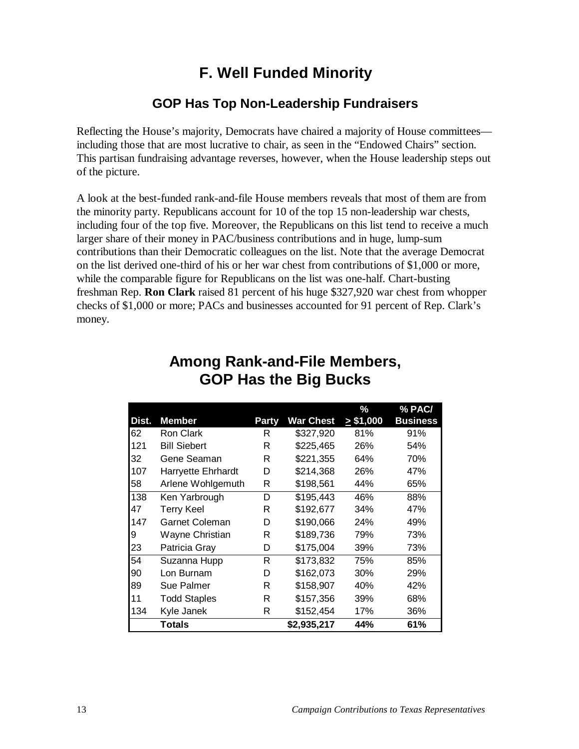#### **F. Well Funded Minority**

#### **GOP Has Top Non-Leadership Fundraisers**

Reflecting the House's majority, Democrats have chaired a majority of House committees including those that are most lucrative to chair, as seen in the "Endowed Chairs" section. This partisan fundraising advantage reverses, however, when the House leadership steps out of the picture.

A look at the best-funded rank-and-file House members reveals that most of them are from the minority party. Republicans account for 10 of the top 15 non-leadership war chests, including four of the top five. Moreover, the Republicans on this list tend to receive a much larger share of their money in PAC/business contributions and in huge, lump-sum contributions than their Democratic colleagues on the list. Note that the average Democrat on the list derived one-third of his or her war chest from contributions of \$1,000 or more, while the comparable figure for Republicans on the list was one-half. Chart-busting freshman Rep. **Ron Clark** raised 81 percent of his huge \$327,920 war chest from whopper checks of \$1,000 or more; PACs and businesses accounted for 91 percent of Rep. Clark's money.

|       |                       |       |                  | %             | % PAC/          |
|-------|-----------------------|-------|------------------|---------------|-----------------|
| Dist. | <b>Member</b>         | Party | <b>War Chest</b> | $\ge$ \$1,000 | <b>Business</b> |
| 62    | Ron Clark             | R     | \$327,920        | 81%           | 91%             |
| 121   | <b>Bill Siebert</b>   | R     | \$225,465        | 26%           | 54%             |
| 32    | Gene Seaman           | R     | \$221,355        | 64%           | 70%             |
| 107   | Harryette Ehrhardt    | D     | \$214,368        | 26%           | 47%             |
| 58    | Arlene Wohlgemuth     | R     | \$198,561        | 44%           | 65%             |
| 138   | Ken Yarbrough         | D     | \$195,443        | 46%           | 88%             |
| 47    | <b>Terry Keel</b>     | R     | \$192,677        | 34%           | 47%             |
| 147   | <b>Garnet Coleman</b> | D     | \$190,066        | 24%           | 49%             |
| 9     | Wayne Christian       | R     | \$189,736        | 79%           | 73%             |
| 23    | Patricia Gray         | D     | \$175,004        | 39%           | 73%             |
| 54    | Suzanna Hupp          | R     | \$173,832        | 75%           | 85%             |
| 90    | Lon Burnam            | D     | \$162,073        | 30%           | 29%             |
| 89    | Sue Palmer            | R     | \$158,907        | 40%           | 42%             |
| 11    | <b>Todd Staples</b>   | R     | \$157,356        | 39%           | 68%             |
| 134   | Kyle Janek            | R     | \$152,454        | 17%           | 36%             |
|       | <b>Totals</b>         |       | \$2,935,217      | 44%           | 61%             |

#### **Among Rank-and-File Members, GOP Has the Big Bucks**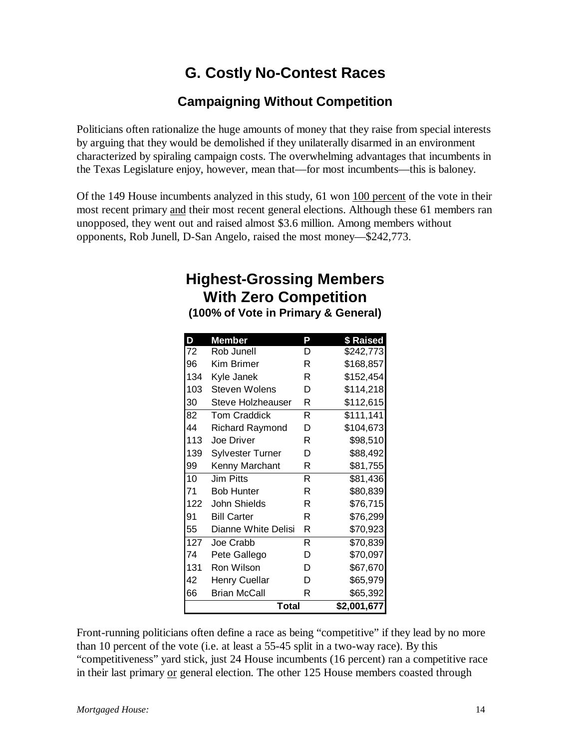## **G. Costly No-Contest Races**

#### **Campaigning Without Competition**

Politicians often rationalize the huge amounts of money that they raise from special interests by arguing that they would be demolished if they unilaterally disarmed in an environment characterized by spiraling campaign costs. The overwhelming advantages that incumbents in the Texas Legislature enjoy, however, mean that—for most incumbents—this is baloney.

Of the 149 House incumbents analyzed in this study, 61 won 100 percent of the vote in their most recent primary and their most recent general elections. Although these 61 members ran unopposed, they went out and raised almost \$3.6 million. Among members without opponents, Rob Junell, D-San Angelo, raised the most money—\$242,773.

## **Highest-Grossing Members With Zero Competition**

**(100% of Vote in Primary & General)**

| D   | <b>Member</b>           | P | \$ Raised   |
|-----|-------------------------|---|-------------|
| 72  | Rob Junell              | D | \$242,773   |
| 96  | Kim Brimer              | R | \$168,857   |
| 134 | Kyle Janek              | R | \$152,454   |
| 103 | Steven Wolens           | D | \$114,218   |
| 30  | Steve Holzheauser       | R | \$112,615   |
| 82  | <b>Tom Craddick</b>     | R | \$111,141   |
| 44  | <b>Richard Raymond</b>  | D | \$104,673   |
| 113 | <b>Joe Driver</b>       | R | \$98,510    |
| 139 | <b>Sylvester Turner</b> | D | \$88,492    |
| 99  | Kenny Marchant          | R | \$81,755    |
| 10  | <b>Jim Pitts</b>        | R | \$81,436    |
| 71  | <b>Bob Hunter</b>       | R | \$80,839    |
| 122 | John Shields            | R | \$76,715    |
| 91  | <b>Bill Carter</b>      | R | \$76,299    |
| 55  | Dianne White Delisi     | R | \$70,923    |
| 127 | Joe Crabb               | R | \$70,839    |
| 74  | Pete Gallego            | D | \$70,097    |
| 131 | Ron Wilson              | D | \$67,670    |
| 42  | Henry Cuellar           | D | \$65,979    |
| 66  | <b>Brian McCall</b>     | R | \$65,392    |
|     | Total                   |   | \$2,001,677 |

Front-running politicians often define a race as being "competitive" if they lead by no more than 10 percent of the vote (i.e. at least a 55-45 split in a two-way race). By this "competitiveness" yard stick, just 24 House incumbents (16 percent) ran a competitive race in their last primary or general election. The other 125 House members coasted through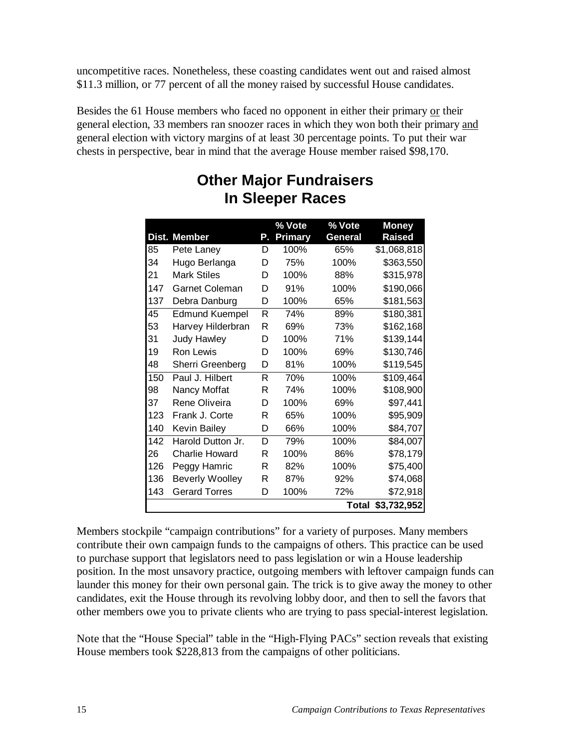uncompetitive races. Nonetheless, these coasting candidates went out and raised almost \$11.3 million, or 77 percent of all the money raised by successful House candidates.

Besides the 61 House members who faced no opponent in either their primary or their general election, 33 members ran snoozer races in which they won both their primary and general election with victory margins of at least 30 percentage points. To put their war chests in perspective, bear in mind that the average House member raised \$98,170.

|       |                        |    | % Vote         | % Vote       | <b>Money</b> |
|-------|------------------------|----|----------------|--------------|--------------|
| Dist. | <b>Member</b>          | Ρ. | <b>Primary</b> | General      | Raised       |
| 85    | Pete Laney             | D  | 100%           | 65%          | \$1,068,818  |
| 34    | Hugo Berlanga          | D  | 75%            | 100%         | \$363,550    |
| 21    | <b>Mark Stiles</b>     | D  | 100%           | 88%          | \$315,978    |
| 147   | <b>Garnet Coleman</b>  | D  | 91%            | 100%         | \$190,066    |
| 137   | Debra Danburg          | D  | 100%           | 65%          | \$181,563    |
| 45    | <b>Edmund Kuempel</b>  | R  | 74%            | 89%          | \$180,381    |
| 53    | Harvey Hilderbran      | R  | 69%            | 73%          | \$162,168    |
| 31    | <b>Judy Hawley</b>     | D  | 100%           | 71%          | \$139,144    |
| 19    | <b>Ron Lewis</b>       | D  | 100%           | 69%          | \$130,746    |
| 48    | Sherri Greenberg       | D  | 81%            | 100%         | \$119,545    |
| 150   | Paul J. Hilbert        | R  | 70%            | 100%         | \$109,464    |
| 98    | Nancy Moffat           | R  | 74%            | 100%         | \$108,900    |
| 37    | Rene Oliveira          | D  | 100%           | 69%          | \$97,441     |
| 123   | Frank J. Corte         | R  | 65%            | 100%         | \$95,909     |
| 140   | Kevin Bailey           | D  | 66%            | 100%         | \$84,707     |
| 142   | Harold Dutton Jr.      | D  | 79%            | 100%         | \$84,007     |
| 26    | <b>Charlie Howard</b>  | R  | 100%           | 86%          | \$78,179     |
| 126   | Peggy Hamric           | R  | 82%            | 100%         | \$75,400     |
| 136   | <b>Beverly Woolley</b> | R  | 87%            | 92%          | \$74,068     |
| 143   | <b>Gerard Torres</b>   | D  | 100%           | 72%          | \$72,918     |
|       |                        |    |                | <b>Total</b> | \$3,732,952  |

#### **Other Major Fundraisers In Sleeper Races**

Members stockpile "campaign contributions" for a variety of purposes. Many members contribute their own campaign funds to the campaigns of others. This practice can be used to purchase support that legislators need to pass legislation or win a House leadership position. In the most unsavory practice, outgoing members with leftover campaign funds can launder this money for their own personal gain. The trick is to give away the money to other candidates, exit the House through its revolving lobby door, and then to sell the favors that other members owe you to private clients who are trying to pass special-interest legislation.

Note that the "House Special" table in the "High-Flying PACs" section reveals that existing House members took \$228,813 from the campaigns of other politicians.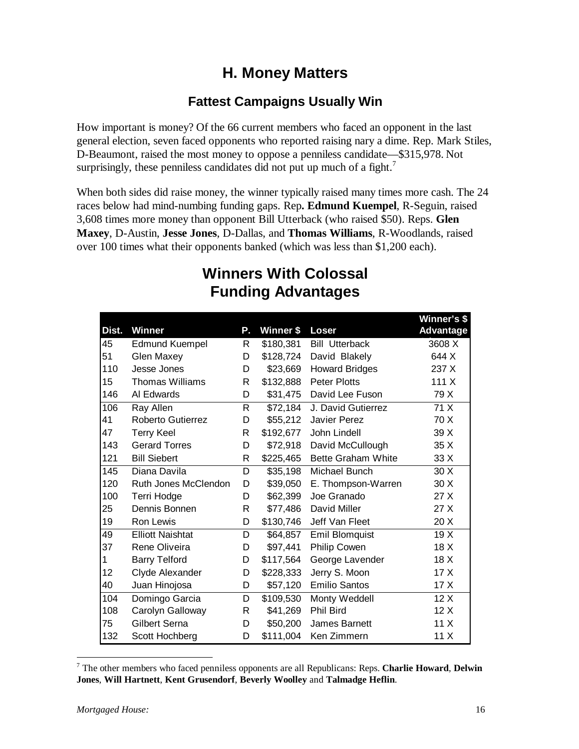## **H. Money Matters**

#### **Fattest Campaigns Usually Win**

How important is money? Of the 66 current members who faced an opponent in the last general election, seven faced opponents who reported raising nary a dime. Rep. Mark Stiles, D-Beaumont, raised the most money to oppose a penniless candidate—\$315,978. Not surprisingly, these penniless candidates did not put up much of a fight.<sup>7</sup>

When both sides did raise money, the winner typically raised many times more cash. The 24 races below had mind-numbing funding gaps. Rep**. Edmund Kuempel**, R-Seguin, raised 3,608 times more money than opponent Bill Utterback (who raised \$50). Reps. **Glen Maxey**, D-Austin, **Jesse Jones**, D-Dallas, and **Thomas Williams**, R-Woodlands, raised over 100 times what their opponents banked (which was less than \$1,200 each).

| Dist. | <b>Winner</b>            | Ρ.           | Winner \$ | Loser                     | Winner's \$<br><b>Advantage</b> |
|-------|--------------------------|--------------|-----------|---------------------------|---------------------------------|
| 45    | <b>Edmund Kuempel</b>    | R            | \$180,381 | <b>Bill Utterback</b>     | 3608 X                          |
| 51    | <b>Glen Maxey</b>        | D            | \$128,724 | David Blakely             | 644 X                           |
| 110   | Jesse Jones              | D            | \$23,669  | <b>Howard Bridges</b>     | 237 X                           |
| 15    | <b>Thomas Williams</b>   | R            | \$132,888 | <b>Peter Plotts</b>       | 111 X                           |
| 146   | Al Edwards               | D            | \$31,475  | David Lee Fuson           | 79 X                            |
| 106   | Ray Allen                | $\mathsf{R}$ | \$72,184  | J. David Gutierrez        | 71 X                            |
| 41    | <b>Roberto Gutierrez</b> | D            | \$55,212  | <b>Javier Perez</b>       | 70 X                            |
| 47    | <b>Terry Keel</b>        | $\mathsf{R}$ | \$192,677 | John Lindell              | 39 X                            |
| 143   | <b>Gerard Torres</b>     | D            | \$72,918  | David McCullough          | 35 X                            |
| 121   | <b>Bill Siebert</b>      | $\mathsf{R}$ | \$225,465 | <b>Bette Graham White</b> | 33 X                            |
| 145   | Diana Davila             | D            | \$35,198  | Michael Bunch             | 30 X                            |
| 120   | Ruth Jones McClendon     | D            | \$39,050  | E. Thompson-Warren        | 30 X                            |
| 100   | <b>Terri Hodge</b>       | D            | \$62,399  | Joe Granado               | 27 X                            |
| 25    | Dennis Bonnen            | $\mathsf{R}$ | \$77,486  | David Miller              | 27 X                            |
| 19    | Ron Lewis                | D            | \$130,746 | Jeff Van Fleet            | 20 X                            |
| 49    | <b>Elliott Naishtat</b>  | D            | \$64,857  | Emil Blomquist            | 19X                             |
| 37    | Rene Oliveira            | D            | \$97,441  | <b>Philip Cowen</b>       | 18 X                            |
| 1     | <b>Barry Telford</b>     | D            | \$117,564 | George Lavender           | 18 X                            |
| 12    | Clyde Alexander          | D            | \$228,333 | Jerry S. Moon             | 17 <sub>X</sub>                 |
| 40    | Juan Hinojosa            | D            | \$57,120  | <b>Emilio Santos</b>      | 17X                             |
| 104   | Domingo Garcia           | D            | \$109,530 | Monty Weddell             | 12X                             |
| 108   | Carolyn Galloway         | R            | \$41,269  | Phil Bird                 | 12X                             |
| 75    | Gilbert Serna            | D            | \$50,200  | James Barnett             | 11X                             |
| 132   | Scott Hochberg           | D            | \$111,004 | Ken Zimmern               | 11X                             |

## **Winners With Colossal Funding Advantages**

<sup>7</sup> The other members who faced penniless opponents are all Republicans: Reps. **Charlie Howard**, **Delwin Jones**, **Will Hartnett**, **Kent Grusendorf**, **Beverly Woolley** and **Talmadge Heflin**.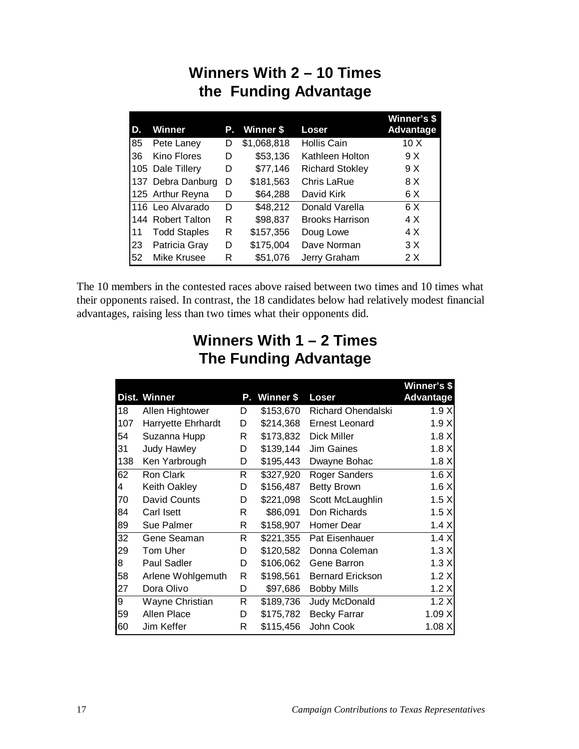## **Winners With 2 – 10 Times the Funding Advantage**

| D. | <b>Winner</b>       | Р. | Winner \$   | Loser                  | Winner's \$<br>Advantage |
|----|---------------------|----|-------------|------------------------|--------------------------|
| 85 | Pete Laney          | D  | \$1,068,818 | <b>Hollis Cain</b>     | 10 <sub>X</sub>          |
| 36 | Kino Flores         | D  | \$53,136    | Kathleen Holton        | 9 X                      |
|    | 105 Dale Tillery    | D  | \$77,146    | <b>Richard Stokley</b> | 9 X                      |
|    | 137 Debra Danburg   | D  | \$181,563   | Chris LaRue            | 8 X                      |
|    | 125 Arthur Reyna    | D  | \$64,288    | David Kirk             | 6 X                      |
|    | 116 Leo Alvarado    | D  | \$48,212    | Donald Varella         | 6 X                      |
|    | 144 Robert Talton   | R  | \$98,837    | <b>Brooks Harrison</b> | 4 X                      |
| 11 | <b>Todd Staples</b> | R  | \$157,356   | Doug Lowe              | 4 X                      |
| 23 | Patricia Gray       | D  | \$175,004   | Dave Norman            | 3 X                      |
| 52 | Mike Krusee         | R  | \$51,076    | Jerry Graham           | 2 X                      |

The 10 members in the contested races above raised between two times and 10 times what their opponents raised. In contrast, the 18 candidates below had relatively modest financial advantages, raising less than two times what their opponents did.

## **Winners With 1 – 2 Times The Funding Advantage**

|     |                           |    |           |                         | Winner's \$      |
|-----|---------------------------|----|-----------|-------------------------|------------------|
|     | Dist. Winner              | Р. | Winner \$ | Loser                   | <b>Advantage</b> |
| 18  | Allen Hightower           | D  | \$153,670 | Richard Ohendalski      | 1.9X             |
| 107 | <b>Harryette Ehrhardt</b> | D  | \$214,368 | <b>Ernest Leonard</b>   | 1.9X             |
| 54  | Suzanna Hupp              | R  | \$173,832 | Dick Miller             | 1.8X             |
| 31  | <b>Judy Hawley</b>        | D  | \$139,144 | <b>Jim Gaines</b>       | 1.8X             |
| 138 | Ken Yarbrough             | D  | \$195,443 | Dwayne Bohac            | 1.8X             |
| 62  | Ron Clark                 | R  | \$327,920 | Roger Sanders           | 1.6 X            |
| 4   | <b>Keith Oakley</b>       | D  | \$156,487 | <b>Betty Brown</b>      | 1.6 X            |
| 70  | David Counts              | D  | \$221,098 | Scott McLaughlin        | 1.5 X            |
| 84  | Carl Isett                | R  | \$86,091  | Don Richards            | 1.5 X            |
| 89  | Sue Palmer                | R  | \$158,907 | Homer Dear              | 1.4 X            |
| 32  | Gene Seaman               | R. | \$221,355 | Pat Eisenhauer          | 1.4 X            |
| 29  | Tom Uher                  | D  | \$120,582 | Donna Coleman           | 1.3X             |
| 8   | <b>Paul Sadler</b>        | D  | \$106,062 | Gene Barron             | 1.3 X            |
| 58  | Arlene Wohlgemuth         | R  | \$198,561 | <b>Bernard Erickson</b> | 1.2 X            |
| 27  | Dora Olivo                | D  | \$97,686  | <b>Bobby Mills</b>      | 1.2 X            |
| 9   | Wayne Christian           | R  | \$189,736 | Judy McDonald           | 1.2 X            |
| 59  | Allen Place               | D  | \$175,782 | <b>Becky Farrar</b>     | 1.09X            |
| 60  | Jim Keffer                | R  | \$115,456 | John Cook               | 1.08X            |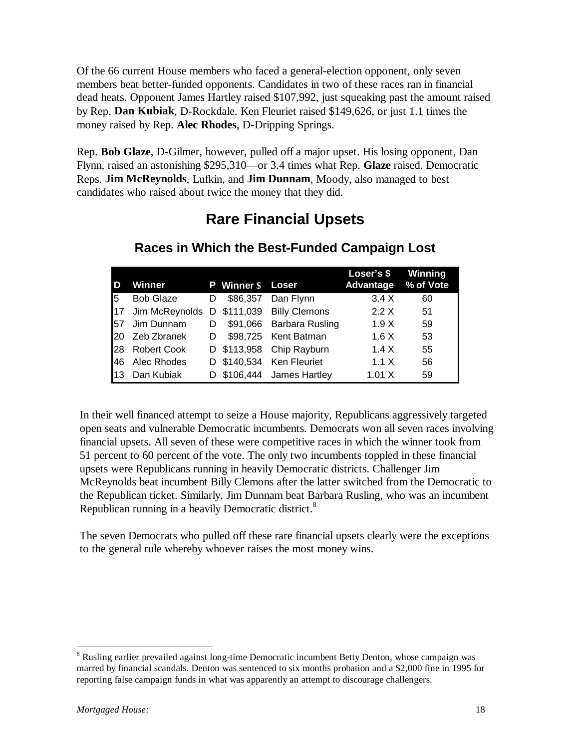Of the 66 current House members who faced a general-election opponent, only seven members beat better-funded opponents. Candidates in two of these races ran in financial dead heats. Opponent James Hartley raised \$107,992, just squeaking past the amount raised by Rep. **Dan Kubiak**, D-Rockdale. Ken Fleuriet raised \$149,626, or just 1.1 times the money raised by Rep. **Alec Rhodes**, D-Dripping Springs.

Rep. **Bob Glaze**, D-Gilmer, however, pulled off a major upset. His losing opponent, Dan Flynn, raised an astonishing \$295,310—or 3.4 times what Rep. **Glaze** raised. Democratic Reps. **Jim McReynolds**, Lufkin, and **Jim Dunnam**, Moody, also managed to best candidates who raised about twice the money that they did.

#### **Rare Financial Upsets**

| I D        | Winner             |   | <b>P</b> Winner \$ Loser |                           | Loser's \$<br>Advantage % of Vote | Winning |
|------------|--------------------|---|--------------------------|---------------------------|-----------------------------------|---------|
| l5         | <b>Bob Glaze</b>   | D | \$86,357                 | Dan Flynn                 | 3.4 X                             | 60      |
| 17         | Jim McReynolds     | D |                          | \$111,039 Billy Clemons   | 2.2 X                             | 51      |
| <b>57</b>  | Jim Dunnam         | D |                          | \$91,066 Barbara Rusling  | 1.9X                              | 59      |
| <b>20</b>  | Zeb Zbranek        | D |                          | \$98,725 Kent Batman      | 1.6 X                             | 53      |
| <b>I28</b> | <b>Robert Cook</b> |   |                          | D \$113,958 Chip Rayburn  | 1.4 X                             | 55      |
| 146        | Alec Rhodes        |   |                          | D \$140,534 Ken Fleuriet  | 1.1 X                             | 56      |
| 113        | Dan Kubiak         |   |                          | D \$106,444 James Hartley | 1.01 X                            | 59      |

#### **Races in Which the Best-Funded Campaign Lost**

In their well financed attempt to seize a House majority, Republicans aggressively targeted open seats and vulnerable Democratic incumbents. Democrats won all seven races involving financial upsets. All seven of these were competitive races in which the winner took from 51 percent to 60 percent of the vote. The only two incumbents toppled in these financial upsets were Republicans running in heavily Democratic districts. Challenger Jim McReynolds beat incumbent Billy Clemons after the latter switched from the Democratic to the Republican ticket. Similarly, Jim Dunnam beat Barbara Rusling, who was an incumbent Republican running in a heavily Democratic district.<sup>8</sup>

The seven Democrats who pulled off these rare financial upsets clearly were the exceptions to the general rule whereby whoever raises the most money wins.

<sup>&</sup>lt;sup>8</sup> Rusling earlier prevailed against long-time Democratic incumbent Betty Denton, whose campaign was marred by financial scandals. Denton was sentenced to six months probation and a \$2,000 fine in 1995 for reporting false campaign funds in what was apparently an attempt to discourage challengers.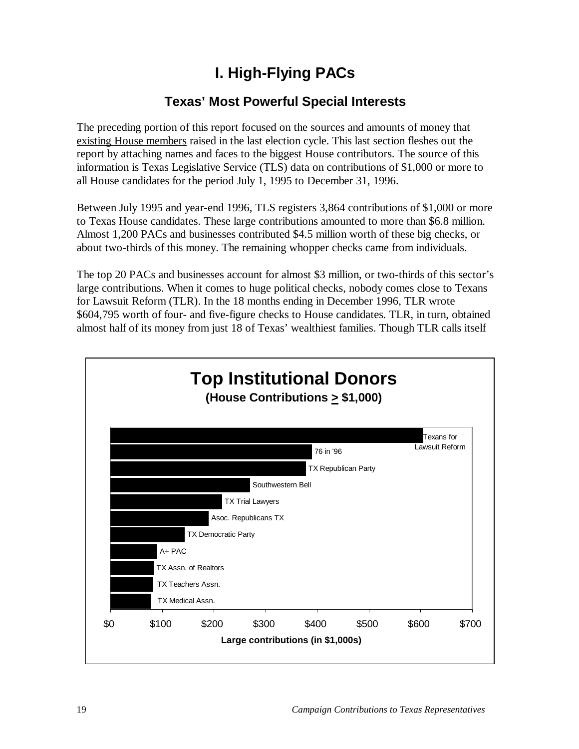## **I. High-Flying PACs**

#### **Texas' Most Powerful Special Interests**

The preceding portion of this report focused on the sources and amounts of money that existing House members raised in the last election cycle. This last section fleshes out the report by attaching names and faces to the biggest House contributors. The source of this information is Texas Legislative Service (TLS) data on contributions of \$1,000 or more to all House candidates for the period July 1, 1995 to December 31, 1996.

Between July 1995 and year-end 1996, TLS registers 3,864 contributions of \$1,000 or more to Texas House candidates. These large contributions amounted to more than \$6.8 million. Almost 1,200 PACs and businesses contributed \$4.5 million worth of these big checks, or about two-thirds of this money. The remaining whopper checks came from individuals.

The top 20 PACs and businesses account for almost \$3 million, or two-thirds of this sector's large contributions. When it comes to huge political checks, nobody comes close to Texans for Lawsuit Reform (TLR). In the 18 months ending in December 1996, TLR wrote \$604,795 worth of four- and five-figure checks to House candidates. TLR, in turn, obtained almost half of its money from just 18 of Texas' wealthiest families. Though TLR calls itself

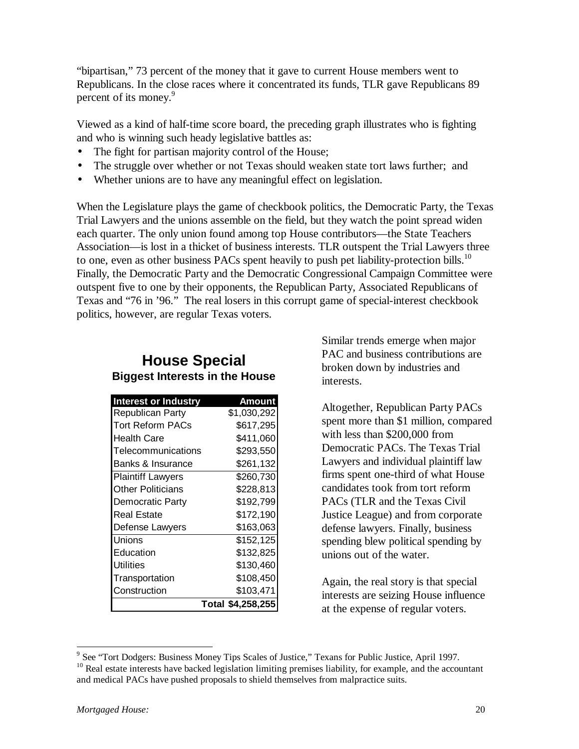"bipartisan," 73 percent of the money that it gave to current House members went to Republicans. In the close races where it concentrated its funds, TLR gave Republicans 89 percent of its money.<sup>9</sup>

Viewed as a kind of half-time score board, the preceding graph illustrates who is fighting and who is winning such heady legislative battles as:

- The fight for partisan majority control of the House;
- The struggle over whether or not Texas should weaken state tort laws further; and
- Whether unions are to have any meaningful effect on legislation.

When the Legislature plays the game of checkbook politics, the Democratic Party, the Texas Trial Lawyers and the unions assemble on the field, but they watch the point spread widen each quarter. The only union found among top House contributors—the State Teachers Association—is lost in a thicket of business interests. TLR outspent the Trial Lawyers three to one, even as other business PACs spent heavily to push pet liability-protection bills.<sup>10</sup> Finally, the Democratic Party and the Democratic Congressional Campaign Committee were outspent five to one by their opponents, the Republican Party, Associated Republicans of Texas and "76 in '96." The real losers in this corrupt game of special-interest checkbook politics, however, are regular Texas voters.

#### **House Special Biggest Interests in the House**

| <b>Interest or Industry</b> | Amount            |
|-----------------------------|-------------------|
| <b>Republican Party</b>     | \$1,030,292       |
| Tort Reform PACs            | \$617,295         |
| Health Care                 | \$411,060         |
| Telecommunications          | \$293,550         |
| Banks & Insurance           | \$261,132         |
| <b>Plaintiff Lawyers</b>    | \$260,730         |
| <b>Other Politicians</b>    | \$228,813         |
| Democratic Party            | \$192,799         |
| <b>Real Estate</b>          | \$172,190         |
| Defense Lawyers             | \$163,063         |
| Unions                      | \$152,125         |
| Education                   | \$132,825         |
| Utilities                   | \$130,460         |
| Transportation              | \$108,450         |
| Construction                | \$103,471         |
|                             | Total \$4,258,255 |

Similar trends emerge when major PAC and business contributions are broken down by industries and interests.

Altogether, Republican Party PACs spent more than \$1 million, compared with less than \$200,000 from Democratic PACs. The Texas Trial Lawyers and individual plaintiff law firms spent one-third of what House candidates took from tort reform PACs (TLR and the Texas Civil Justice League) and from corporate defense lawyers. Finally, business spending blew political spending by unions out of the water.

Again, the real story is that special interests are seizing House influence at the expense of regular voters.

<sup>&</sup>lt;sup>9</sup> See "Tort Dodgers: Business Money Tips Scales of Justice," Texans for Public Justice, April 1997.

<sup>&</sup>lt;sup>10</sup> Real estate interests have backed legislation limiting premises liability, for example, and the accountant and medical PACs have pushed proposals to shield themselves from malpractice suits.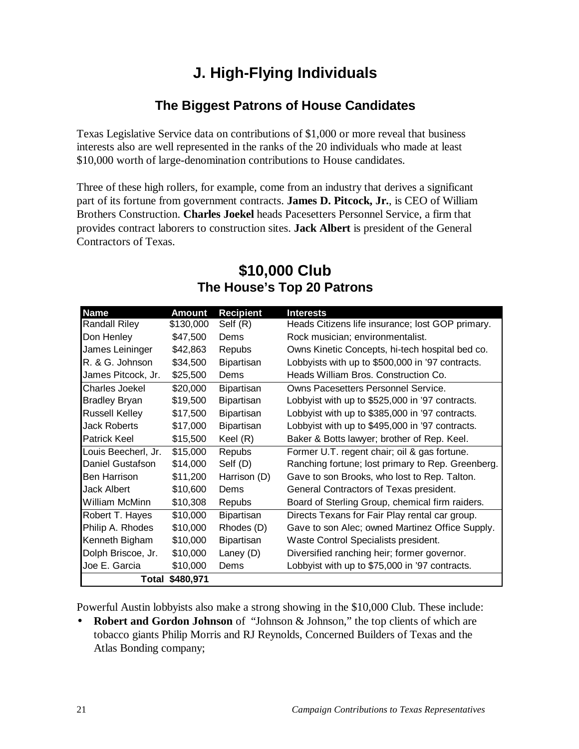## **J. High-Flying Individuals**

#### **The Biggest Patrons of House Candidates**

Texas Legislative Service data on contributions of \$1,000 or more reveal that business interests also are well represented in the ranks of the 20 individuals who made at least \$10,000 worth of large-denomination contributions to House candidates.

Three of these high rollers, for example, come from an industry that derives a significant part of its fortune from government contracts. **James D. Pitcock, Jr.**, is CEO of William Brothers Construction. **Charles Joekel** heads Pacesetters Personnel Service, a firm that provides contract laborers to construction sites. **Jack Albert** is president of the General Contractors of Texas.

#### **\$10,000 Club The House's Top 20 Patrons**

| <b>Name</b>           | Amount    | <b>Recipient</b>  | <b>Interests</b>                                  |
|-----------------------|-----------|-------------------|---------------------------------------------------|
| <b>Randall Riley</b>  | \$130,000 | Self (R)          | Heads Citizens life insurance; lost GOP primary.  |
| Don Henley            | \$47,500  | Dems              | Rock musician; environmentalist.                  |
| James Leininger       | \$42,863  | Repubs            | Owns Kinetic Concepts, hi-tech hospital bed co.   |
| R. & G. Johnson       | \$34,500  | <b>Bipartisan</b> | Lobbyists with up to \$500,000 in '97 contracts.  |
| James Pitcock, Jr.    | \$25,500  | Dems              | Heads William Bros. Construction Co.              |
| Charles Joekel        | \$20,000  | Bipartisan        | Owns Pacesetters Personnel Service.               |
| <b>Bradley Bryan</b>  | \$19,500  | Bipartisan        | Lobbyist with up to \$525,000 in '97 contracts.   |
| <b>Russell Kelley</b> | \$17,500  | <b>Bipartisan</b> | Lobbyist with up to \$385,000 in '97 contracts.   |
| <b>Jack Roberts</b>   | \$17,000  | <b>Bipartisan</b> | Lobbyist with up to \$495,000 in '97 contracts.   |
| <b>Patrick Keel</b>   | \$15,500  | Keel (R)          | Baker & Botts lawyer; brother of Rep. Keel.       |
| Louis Beecherl, Jr.   | \$15,000  | Repubs            | Former U.T. regent chair; oil & gas fortune.      |
| Daniel Gustafson      | \$14,000  | Self (D)          | Ranching fortune; lost primary to Rep. Greenberg. |
| <b>Ben Harrison</b>   | \$11,200  | Harrison (D)      | Gave to son Brooks, who lost to Rep. Talton.      |
| <b>Jack Albert</b>    | \$10,600  | Dems              | General Contractors of Texas president.           |
| <b>William McMinn</b> | \$10,308  | Repubs            | Board of Sterling Group, chemical firm raiders.   |
| Robert T. Hayes       | \$10,000  | Bipartisan        | Directs Texans for Fair Play rental car group.    |
| Philip A. Rhodes      | \$10,000  | Rhodes (D)        | Gave to son Alec; owned Martinez Office Supply.   |
| Kenneth Bigham        | \$10,000  | <b>Bipartisan</b> | Waste Control Specialists president.              |
| Dolph Briscoe, Jr.    | \$10,000  | Laney $(D)$       | Diversified ranching heir; former governor.       |
| Joe E. Garcia         | \$10,000  | Dems              | Lobbyist with up to \$75,000 in '97 contracts.    |
| Total                 | \$480,971 |                   |                                                   |

Powerful Austin lobbyists also make a strong showing in the \$10,000 Club. These include:

• **Robert and Gordon Johnson** of "Johnson & Johnson," the top clients of which are tobacco giants Philip Morris and RJ Reynolds, Concerned Builders of Texas and the Atlas Bonding company;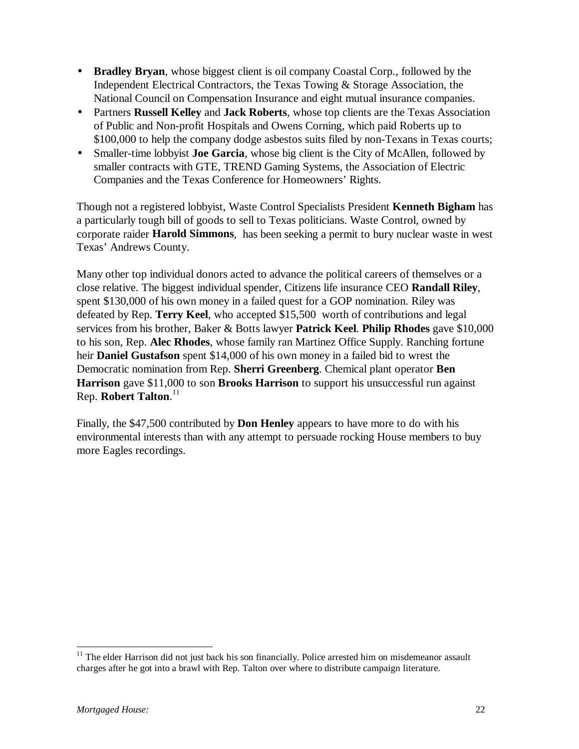- **Bradley Bryan**, whose biggest client is oil company Coastal Corp., followed by the Independent Electrical Contractors, the Texas Towing & Storage Association, the National Council on Compensation Insurance and eight mutual insurance companies.
- Partners **Russell Kelley** and **Jack Roberts**, whose top clients are the Texas Association of Public and Non-profit Hospitals and Owens Corning, which paid Roberts up to \$100,000 to help the company dodge asbestos suits filed by non-Texans in Texas courts;
- Smaller-time lobbyist **Joe Garcia**, whose big client is the City of McAllen, followed by smaller contracts with GTE, TREND Gaming Systems, the Association of Electric Companies and the Texas Conference for Homeowners' Rights.

Though not a registered lobbyist, Waste Control Specialists President **Kenneth Bigham** has a particularly tough bill of goods to sell to Texas politicians. Waste Control, owned by corporate raider **Harold Simmons**, has been seeking a permit to bury nuclear waste in west Texas' Andrews County.

Many other top individual donors acted to advance the political careers of themselves or a close relative. The biggest individual spender, Citizens life insurance CEO **Randall Riley**, spent \$130,000 of his own money in a failed quest for a GOP nomination. Riley was defeated by Rep. **Terry Keel**, who accepted \$15,500 worth of contributions and legal services from his brother, Baker & Botts lawyer **Patrick Keel**. **Philip Rhodes** gave \$10,000 to his son, Rep. **Alec Rhodes**, whose family ran Martinez Office Supply. Ranching fortune heir **Daniel Gustafson** spent \$14,000 of his own money in a failed bid to wrest the Democratic nomination from Rep. **Sherri Greenberg**. Chemical plant operator **Ben Harrison** gave \$11,000 to son **Brooks Harrison** to support his unsuccessful run against Rep. **Robert Talton**. 11

Finally, the \$47,500 contributed by **Don Henley** appears to have more to do with his environmental interests than with any attempt to persuade rocking House members to buy more Eagles recordings.

 $11$  The elder Harrison did not just back his son financially. Police arrested him on misdemeanor assault charges after he got into a brawl with Rep. Talton over where to distribute campaign literature.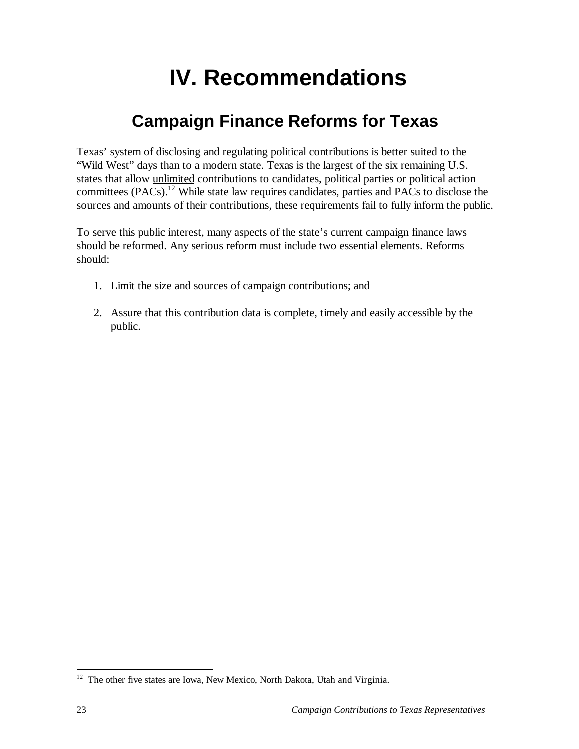# **IV. Recommendations**

## **Campaign Finance Reforms for Texas**

Texas' system of disclosing and regulating political contributions is better suited to the "Wild West" days than to a modern state. Texas is the largest of the six remaining U.S. states that allow unlimited contributions to candidates, political parties or political action committees (PACs).12 While state law requires candidates, parties and PACs to disclose the sources and amounts of their contributions, these requirements fail to fully inform the public.

To serve this public interest, many aspects of the state's current campaign finance laws should be reformed. Any serious reform must include two essential elements. Reforms should:

- 1. Limit the size and sources of campaign contributions; and
- 2. Assure that this contribution data is complete, timely and easily accessible by the public.

 $12$  The other five states are Iowa, New Mexico, North Dakota, Utah and Virginia.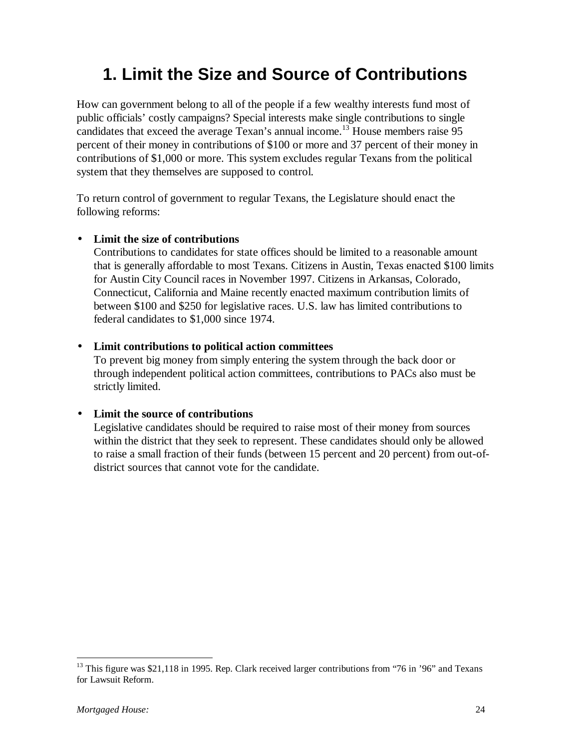## **1. Limit the Size and Source of Contributions**

How can government belong to all of the people if a few wealthy interests fund most of public officials' costly campaigns? Special interests make single contributions to single candidates that exceed the average Texan's annual income.<sup>13</sup> House members raise 95 percent of their money in contributions of \$100 or more and 37 percent of their money in contributions of \$1,000 or more. This system excludes regular Texans from the political system that they themselves are supposed to control.

To return control of government to regular Texans, the Legislature should enact the following reforms:

#### • **Limit the size of contributions**

Contributions to candidates for state offices should be limited to a reasonable amount that is generally affordable to most Texans. Citizens in Austin, Texas enacted \$100 limits for Austin City Council races in November 1997. Citizens in Arkansas, Colorado, Connecticut, California and Maine recently enacted maximum contribution limits of between \$100 and \$250 for legislative races. U.S. law has limited contributions to federal candidates to \$1,000 since 1974.

#### • **Limit contributions to political action committees**

To prevent big money from simply entering the system through the back door or through independent political action committees, contributions to PACs also must be strictly limited.

#### • **Limit the source of contributions**

Legislative candidates should be required to raise most of their money from sources within the district that they seek to represent. These candidates should only be allowed to raise a small fraction of their funds (between 15 percent and 20 percent) from out-ofdistrict sources that cannot vote for the candidate.

<sup>&</sup>lt;sup>13</sup> This figure was \$21,118 in 1995. Rep. Clark received larger contributions from "76 in '96" and Texans for Lawsuit Reform.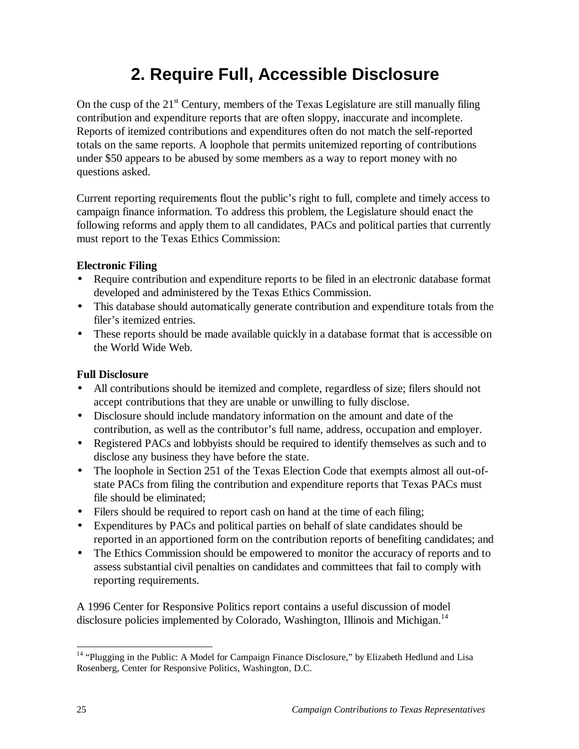## **2. Require Full, Accessible Disclosure**

On the cusp of the  $21<sup>st</sup>$  Century, members of the Texas Legislature are still manually filing contribution and expenditure reports that are often sloppy, inaccurate and incomplete. Reports of itemized contributions and expenditures often do not match the self-reported totals on the same reports. A loophole that permits unitemized reporting of contributions under \$50 appears to be abused by some members as a way to report money with no questions asked.

Current reporting requirements flout the public's right to full, complete and timely access to campaign finance information. To address this problem, the Legislature should enact the following reforms and apply them to all candidates, PACs and political parties that currently must report to the Texas Ethics Commission:

#### **Electronic Filing**

- Require contribution and expenditure reports to be filed in an electronic database format developed and administered by the Texas Ethics Commission.
- This database should automatically generate contribution and expenditure totals from the filer's itemized entries.
- These reports should be made available quickly in a database format that is accessible on the World Wide Web.

#### **Full Disclosure**

- All contributions should be itemized and complete, regardless of size; filers should not accept contributions that they are unable or unwilling to fully disclose.
- Disclosure should include mandatory information on the amount and date of the contribution, as well as the contributor's full name, address, occupation and employer.
- Registered PACs and lobbyists should be required to identify themselves as such and to disclose any business they have before the state.
- The loophole in Section 251 of the Texas Election Code that exempts almost all out-ofstate PACs from filing the contribution and expenditure reports that Texas PACs must file should be eliminated;
- Filers should be required to report cash on hand at the time of each filing;
- Expenditures by PACs and political parties on behalf of slate candidates should be reported in an apportioned form on the contribution reports of benefiting candidates; and
- The Ethics Commission should be empowered to monitor the accuracy of reports and to assess substantial civil penalties on candidates and committees that fail to comply with reporting requirements.

A 1996 Center for Responsive Politics report contains a useful discussion of model disclosure policies implemented by Colorado, Washington, Illinois and Michigan.<sup>14</sup>

<sup>&</sup>lt;sup>14</sup> "Plugging in the Public: A Model for Campaign Finance Disclosure," by Elizabeth Hedlund and Lisa Rosenberg, Center for Responsive Politics, Washington, D.C.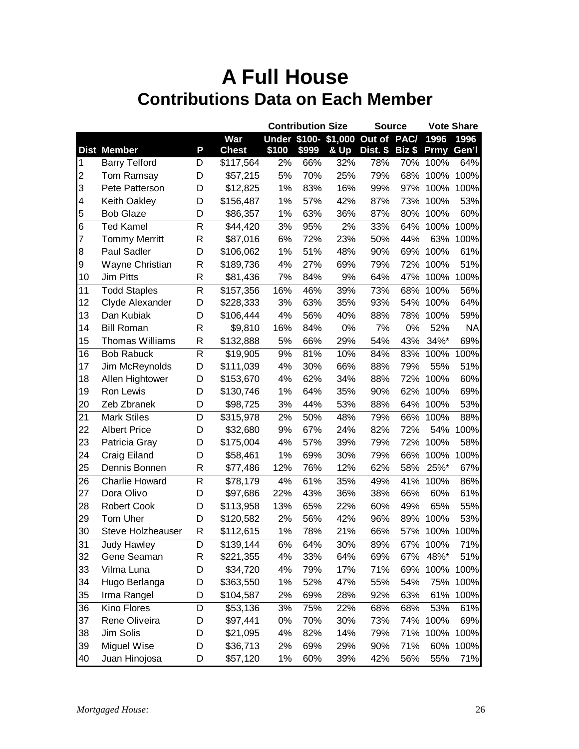| Under \$100- \$1,000 Out of<br><b>Dist Member</b><br>P<br>\$100<br>\$999<br>& Up<br>Dist. \$<br><b>Chest</b><br>Biz \$<br><b>Prmy</b><br><b>Barry Telford</b><br>2%<br>66%<br>32%<br>78%<br>100%<br>64%<br>D<br>\$117,564<br>70%<br>$\vert$ 1<br>$\overline{2}$<br>5%<br>70%<br>25%<br>79%<br>68%<br>100%<br>100%<br>Tom Ramsay<br>D<br>\$57,215<br>3<br>83%<br>16%<br>99%<br>Pete Patterson<br>D<br>1%<br>97%<br>100%<br>\$12,825<br>4<br>Keith Oakley<br>D<br>1%<br>57%<br>42%<br>87%<br>73%<br>100%<br>\$156,487<br>5<br><b>Bob Glaze</b><br>D<br>\$86,357<br>1%<br>63%<br>36%<br>87%<br>80%<br>100%<br>$6\phantom{1}6$<br><b>Ted Kamel</b><br>95%<br>R<br>3%<br>2%<br>33%<br>64%<br>100%<br>\$44,420<br>$\overline{7}$<br>$\mathsf{R}$<br>23%<br>50%<br><b>Tommy Merritt</b><br>6%<br>72%<br>44%<br>63%<br>\$87,016<br>51%<br>48%<br>8<br>Paul Sadler<br>D<br>1%<br>90%<br>69%<br>100%<br>\$106,062<br>4%<br>27%<br>69%<br>79%<br>72%<br>100%<br>9<br>Wayne Christian<br>R<br>\$189,736<br>9%<br>Jim Pitts<br>R<br>7%<br>84%<br>64%<br>47%<br>100%<br>10<br>\$81,436<br><b>Todd Staples</b><br>$\mathsf{R}$<br>16%<br>46%<br>39%<br>73%<br>68%<br>11<br>\$157,356<br>100%<br>12<br>35%<br>Clyde Alexander<br>D<br>3%<br>63%<br>93%<br>54%<br>100%<br>\$228,333<br>13<br>Dan Kubiak<br>4%<br>56%<br>40%<br>88%<br>78%<br>100%<br>D<br>\$106,444<br>14<br>$\mathsf{R}$<br>16%<br>0%<br>7%<br>0%<br>52%<br><b>Bill Roman</b><br>84%<br>\$9,810<br>15<br>$\mathsf{R}$<br>29%<br>54%<br>43%<br><b>Thomas Williams</b><br>5%<br>66%<br>34%*<br>\$132,888<br>$\mathsf{R}$<br>81%<br>16<br><b>Bob Rabuck</b><br>10%<br>84%<br>83%<br>\$19,905<br>9%<br>100%<br>17<br>4%<br>30%<br>66%<br>79%<br>55%<br>Jim McReynolds<br>D<br>\$111,039<br>88%<br>18<br>62%<br>88%<br>Allen Hightower<br>4%<br>34%<br>72%<br>100%<br>D<br>\$153,670<br>19<br>90%<br>Ron Lewis<br>1%<br>64%<br>35%<br>62%<br>100%<br>D<br>\$130,746<br>D |    |             |          |    | <b>Contribution Size</b> |     | <b>Source</b> |      |      | <b>Vote Share</b> |
|---------------------------------------------------------------------------------------------------------------------------------------------------------------------------------------------------------------------------------------------------------------------------------------------------------------------------------------------------------------------------------------------------------------------------------------------------------------------------------------------------------------------------------------------------------------------------------------------------------------------------------------------------------------------------------------------------------------------------------------------------------------------------------------------------------------------------------------------------------------------------------------------------------------------------------------------------------------------------------------------------------------------------------------------------------------------------------------------------------------------------------------------------------------------------------------------------------------------------------------------------------------------------------------------------------------------------------------------------------------------------------------------------------------------------------------------------------------------------------------------------------------------------------------------------------------------------------------------------------------------------------------------------------------------------------------------------------------------------------------------------------------------------------------------------------------------------------------------------------------------------------------------------------------------|----|-------------|----------|----|--------------------------|-----|---------------|------|------|-------------------|
|                                                                                                                                                                                                                                                                                                                                                                                                                                                                                                                                                                                                                                                                                                                                                                                                                                                                                                                                                                                                                                                                                                                                                                                                                                                                                                                                                                                                                                                                                                                                                                                                                                                                                                                                                                                                                                                                                                                     |    |             | War      |    |                          |     |               | PAC/ | 1996 | 1996              |
|                                                                                                                                                                                                                                                                                                                                                                                                                                                                                                                                                                                                                                                                                                                                                                                                                                                                                                                                                                                                                                                                                                                                                                                                                                                                                                                                                                                                                                                                                                                                                                                                                                                                                                                                                                                                                                                                                                                     |    |             |          |    |                          |     |               |      |      | Gen'l             |
|                                                                                                                                                                                                                                                                                                                                                                                                                                                                                                                                                                                                                                                                                                                                                                                                                                                                                                                                                                                                                                                                                                                                                                                                                                                                                                                                                                                                                                                                                                                                                                                                                                                                                                                                                                                                                                                                                                                     |    |             |          |    |                          |     |               |      |      |                   |
|                                                                                                                                                                                                                                                                                                                                                                                                                                                                                                                                                                                                                                                                                                                                                                                                                                                                                                                                                                                                                                                                                                                                                                                                                                                                                                                                                                                                                                                                                                                                                                                                                                                                                                                                                                                                                                                                                                                     |    |             |          |    |                          |     |               |      |      |                   |
|                                                                                                                                                                                                                                                                                                                                                                                                                                                                                                                                                                                                                                                                                                                                                                                                                                                                                                                                                                                                                                                                                                                                                                                                                                                                                                                                                                                                                                                                                                                                                                                                                                                                                                                                                                                                                                                                                                                     |    |             |          |    |                          |     |               |      |      | 100%              |
|                                                                                                                                                                                                                                                                                                                                                                                                                                                                                                                                                                                                                                                                                                                                                                                                                                                                                                                                                                                                                                                                                                                                                                                                                                                                                                                                                                                                                                                                                                                                                                                                                                                                                                                                                                                                                                                                                                                     |    |             |          |    |                          |     |               |      |      | 53%               |
|                                                                                                                                                                                                                                                                                                                                                                                                                                                                                                                                                                                                                                                                                                                                                                                                                                                                                                                                                                                                                                                                                                                                                                                                                                                                                                                                                                                                                                                                                                                                                                                                                                                                                                                                                                                                                                                                                                                     |    |             |          |    |                          |     |               |      |      | 60%               |
|                                                                                                                                                                                                                                                                                                                                                                                                                                                                                                                                                                                                                                                                                                                                                                                                                                                                                                                                                                                                                                                                                                                                                                                                                                                                                                                                                                                                                                                                                                                                                                                                                                                                                                                                                                                                                                                                                                                     |    |             |          |    |                          |     |               |      |      | 100%              |
|                                                                                                                                                                                                                                                                                                                                                                                                                                                                                                                                                                                                                                                                                                                                                                                                                                                                                                                                                                                                                                                                                                                                                                                                                                                                                                                                                                                                                                                                                                                                                                                                                                                                                                                                                                                                                                                                                                                     |    |             |          |    |                          |     |               |      |      | 100%              |
|                                                                                                                                                                                                                                                                                                                                                                                                                                                                                                                                                                                                                                                                                                                                                                                                                                                                                                                                                                                                                                                                                                                                                                                                                                                                                                                                                                                                                                                                                                                                                                                                                                                                                                                                                                                                                                                                                                                     |    |             |          |    |                          |     |               |      |      | 61%               |
|                                                                                                                                                                                                                                                                                                                                                                                                                                                                                                                                                                                                                                                                                                                                                                                                                                                                                                                                                                                                                                                                                                                                                                                                                                                                                                                                                                                                                                                                                                                                                                                                                                                                                                                                                                                                                                                                                                                     |    |             |          |    |                          |     |               |      |      | 51%               |
|                                                                                                                                                                                                                                                                                                                                                                                                                                                                                                                                                                                                                                                                                                                                                                                                                                                                                                                                                                                                                                                                                                                                                                                                                                                                                                                                                                                                                                                                                                                                                                                                                                                                                                                                                                                                                                                                                                                     |    |             |          |    |                          |     |               |      |      | 100%              |
|                                                                                                                                                                                                                                                                                                                                                                                                                                                                                                                                                                                                                                                                                                                                                                                                                                                                                                                                                                                                                                                                                                                                                                                                                                                                                                                                                                                                                                                                                                                                                                                                                                                                                                                                                                                                                                                                                                                     |    |             |          |    |                          |     |               |      |      | 56%               |
|                                                                                                                                                                                                                                                                                                                                                                                                                                                                                                                                                                                                                                                                                                                                                                                                                                                                                                                                                                                                                                                                                                                                                                                                                                                                                                                                                                                                                                                                                                                                                                                                                                                                                                                                                                                                                                                                                                                     |    |             |          |    |                          |     |               |      |      | 64%               |
|                                                                                                                                                                                                                                                                                                                                                                                                                                                                                                                                                                                                                                                                                                                                                                                                                                                                                                                                                                                                                                                                                                                                                                                                                                                                                                                                                                                                                                                                                                                                                                                                                                                                                                                                                                                                                                                                                                                     |    |             |          |    |                          |     |               |      |      | 59%               |
|                                                                                                                                                                                                                                                                                                                                                                                                                                                                                                                                                                                                                                                                                                                                                                                                                                                                                                                                                                                                                                                                                                                                                                                                                                                                                                                                                                                                                                                                                                                                                                                                                                                                                                                                                                                                                                                                                                                     |    |             |          |    |                          |     |               |      |      | <b>NA</b>         |
|                                                                                                                                                                                                                                                                                                                                                                                                                                                                                                                                                                                                                                                                                                                                                                                                                                                                                                                                                                                                                                                                                                                                                                                                                                                                                                                                                                                                                                                                                                                                                                                                                                                                                                                                                                                                                                                                                                                     |    |             |          |    |                          |     |               |      |      | 69%               |
|                                                                                                                                                                                                                                                                                                                                                                                                                                                                                                                                                                                                                                                                                                                                                                                                                                                                                                                                                                                                                                                                                                                                                                                                                                                                                                                                                                                                                                                                                                                                                                                                                                                                                                                                                                                                                                                                                                                     |    |             |          |    |                          |     |               |      |      | 100%              |
|                                                                                                                                                                                                                                                                                                                                                                                                                                                                                                                                                                                                                                                                                                                                                                                                                                                                                                                                                                                                                                                                                                                                                                                                                                                                                                                                                                                                                                                                                                                                                                                                                                                                                                                                                                                                                                                                                                                     |    |             |          |    |                          |     |               |      |      | 51%               |
|                                                                                                                                                                                                                                                                                                                                                                                                                                                                                                                                                                                                                                                                                                                                                                                                                                                                                                                                                                                                                                                                                                                                                                                                                                                                                                                                                                                                                                                                                                                                                                                                                                                                                                                                                                                                                                                                                                                     |    |             |          |    |                          |     |               |      |      | 60%               |
|                                                                                                                                                                                                                                                                                                                                                                                                                                                                                                                                                                                                                                                                                                                                                                                                                                                                                                                                                                                                                                                                                                                                                                                                                                                                                                                                                                                                                                                                                                                                                                                                                                                                                                                                                                                                                                                                                                                     |    |             |          |    |                          |     |               |      |      | 69%               |
|                                                                                                                                                                                                                                                                                                                                                                                                                                                                                                                                                                                                                                                                                                                                                                                                                                                                                                                                                                                                                                                                                                                                                                                                                                                                                                                                                                                                                                                                                                                                                                                                                                                                                                                                                                                                                                                                                                                     | 20 | Zeb Zbranek | \$98,725 | 3% | 44%                      | 53% | 88%           | 64%  | 100% | 53%               |
| 21<br><b>Mark Stiles</b><br>D<br>2%<br>50%<br>48%<br>79%<br>66%<br>100%<br>\$315,978                                                                                                                                                                                                                                                                                                                                                                                                                                                                                                                                                                                                                                                                                                                                                                                                                                                                                                                                                                                                                                                                                                                                                                                                                                                                                                                                                                                                                                                                                                                                                                                                                                                                                                                                                                                                                                |    |             |          |    |                          |     |               |      |      | 88%               |
| 22<br><b>Albert Price</b><br>9%<br>67%<br>24%<br>82%<br>72%<br>54%<br>D<br>\$32,680                                                                                                                                                                                                                                                                                                                                                                                                                                                                                                                                                                                                                                                                                                                                                                                                                                                                                                                                                                                                                                                                                                                                                                                                                                                                                                                                                                                                                                                                                                                                                                                                                                                                                                                                                                                                                                 |    |             |          |    |                          |     |               |      |      | 100%              |
| 23<br>4%<br>57%<br>39%<br>79%<br>72%<br>100%<br>Patricia Gray<br>D<br>\$175,004                                                                                                                                                                                                                                                                                                                                                                                                                                                                                                                                                                                                                                                                                                                                                                                                                                                                                                                                                                                                                                                                                                                                                                                                                                                                                                                                                                                                                                                                                                                                                                                                                                                                                                                                                                                                                                     |    |             |          |    |                          |     |               |      |      | 58%               |
| 24<br>D<br>1%<br>69%<br>30%<br>79%<br>Craig Eiland<br>66%<br>100%<br>\$58,461                                                                                                                                                                                                                                                                                                                                                                                                                                                                                                                                                                                                                                                                                                                                                                                                                                                                                                                                                                                                                                                                                                                                                                                                                                                                                                                                                                                                                                                                                                                                                                                                                                                                                                                                                                                                                                       |    |             |          |    |                          |     |               |      |      | 100%              |
| 25<br>76%<br>12%<br>62%<br>25%*<br>Dennis Bonnen<br>R<br>12%<br>58%<br>\$77,486                                                                                                                                                                                                                                                                                                                                                                                                                                                                                                                                                                                                                                                                                                                                                                                                                                                                                                                                                                                                                                                                                                                                                                                                                                                                                                                                                                                                                                                                                                                                                                                                                                                                                                                                                                                                                                     |    |             |          |    |                          |     |               |      |      | 67%               |
| 61%<br>26<br>$\mathsf{R}$<br>4%<br>35%<br>49%<br>41%<br><b>Charlie Howard</b><br>100%<br>\$78,179                                                                                                                                                                                                                                                                                                                                                                                                                                                                                                                                                                                                                                                                                                                                                                                                                                                                                                                                                                                                                                                                                                                                                                                                                                                                                                                                                                                                                                                                                                                                                                                                                                                                                                                                                                                                                   |    |             |          |    |                          |     |               |      |      | 86%               |
| 27<br>Dora Olivo<br>D<br>22%<br>43%<br>36%<br>38%<br>66%<br>\$97,686<br>60%                                                                                                                                                                                                                                                                                                                                                                                                                                                                                                                                                                                                                                                                                                                                                                                                                                                                                                                                                                                                                                                                                                                                                                                                                                                                                                                                                                                                                                                                                                                                                                                                                                                                                                                                                                                                                                         |    |             |          |    |                          |     |               |      |      | 61%               |
| 28<br><b>Robert Cook</b><br>D<br>13%<br>65%<br>22%<br>60%<br>49%<br>65%<br>\$113,958                                                                                                                                                                                                                                                                                                                                                                                                                                                                                                                                                                                                                                                                                                                                                                                                                                                                                                                                                                                                                                                                                                                                                                                                                                                                                                                                                                                                                                                                                                                                                                                                                                                                                                                                                                                                                                |    |             |          |    |                          |     |               |      |      | 55%               |
| 29<br>Tom Uher<br>D<br>2%<br>56%<br>42%<br>96%<br>89%<br>100%<br>\$120,582                                                                                                                                                                                                                                                                                                                                                                                                                                                                                                                                                                                                                                                                                                                                                                                                                                                                                                                                                                                                                                                                                                                                                                                                                                                                                                                                                                                                                                                                                                                                                                                                                                                                                                                                                                                                                                          |    |             |          |    |                          |     |               |      |      | 53%               |
| 30<br>Steve Holzheauser<br>R<br>\$112,615<br>1%<br>78%<br>21%<br>66%<br>57%<br>100%                                                                                                                                                                                                                                                                                                                                                                                                                                                                                                                                                                                                                                                                                                                                                                                                                                                                                                                                                                                                                                                                                                                                                                                                                                                                                                                                                                                                                                                                                                                                                                                                                                                                                                                                                                                                                                 |    |             |          |    |                          |     |               |      |      | 100%              |
| 31<br>6%<br>64%<br>30%<br>89%<br>67% 100%<br>Judy Hawley<br>D<br>\$139,144                                                                                                                                                                                                                                                                                                                                                                                                                                                                                                                                                                                                                                                                                                                                                                                                                                                                                                                                                                                                                                                                                                                                                                                                                                                                                                                                                                                                                                                                                                                                                                                                                                                                                                                                                                                                                                          |    |             |          |    |                          |     |               |      |      | 71%               |
| 32<br>Gene Seaman<br>64%<br>69%<br>67% 48%*<br>R<br>\$221,355<br>4%<br>33%                                                                                                                                                                                                                                                                                                                                                                                                                                                                                                                                                                                                                                                                                                                                                                                                                                                                                                                                                                                                                                                                                                                                                                                                                                                                                                                                                                                                                                                                                                                                                                                                                                                                                                                                                                                                                                          |    |             |          |    |                          |     |               |      |      | 51%               |
| 33<br>Vilma Luna<br>\$34,720<br>79%<br>17%<br>71%<br>69% 100%<br>D<br>4%                                                                                                                                                                                                                                                                                                                                                                                                                                                                                                                                                                                                                                                                                                                                                                                                                                                                                                                                                                                                                                                                                                                                                                                                                                                                                                                                                                                                                                                                                                                                                                                                                                                                                                                                                                                                                                            |    |             |          |    |                          |     |               |      |      | 100%              |
| 54%<br>34<br>Hugo Berlanga<br>1%<br>52%<br>47%<br>55%<br>75%<br>D<br>\$363,550                                                                                                                                                                                                                                                                                                                                                                                                                                                                                                                                                                                                                                                                                                                                                                                                                                                                                                                                                                                                                                                                                                                                                                                                                                                                                                                                                                                                                                                                                                                                                                                                                                                                                                                                                                                                                                      |    |             |          |    |                          |     |               |      |      | 100%              |
| 35<br>Irma Rangel<br>2%<br>69%<br>28%<br>63%<br>61%<br>D<br>\$104,587<br>92%                                                                                                                                                                                                                                                                                                                                                                                                                                                                                                                                                                                                                                                                                                                                                                                                                                                                                                                                                                                                                                                                                                                                                                                                                                                                                                                                                                                                                                                                                                                                                                                                                                                                                                                                                                                                                                        |    |             |          |    |                          |     |               |      |      | 100%              |
| Kino Flores<br>D<br>75%<br>22%<br>68%<br>53%<br>36<br>\$53,136<br>3%<br>68%                                                                                                                                                                                                                                                                                                                                                                                                                                                                                                                                                                                                                                                                                                                                                                                                                                                                                                                                                                                                                                                                                                                                                                                                                                                                                                                                                                                                                                                                                                                                                                                                                                                                                                                                                                                                                                         |    |             |          |    |                          |     |               |      |      | 61%               |
| 37<br>Rene Oliveira<br>D<br>\$97,441<br>70%<br>30%<br>100%<br>0%<br>73%<br>74%                                                                                                                                                                                                                                                                                                                                                                                                                                                                                                                                                                                                                                                                                                                                                                                                                                                                                                                                                                                                                                                                                                                                                                                                                                                                                                                                                                                                                                                                                                                                                                                                                                                                                                                                                                                                                                      |    |             |          |    |                          |     |               |      |      | 69%               |
| Jim Solis<br>38<br>\$21,095<br>4%<br>82%<br>14%<br>79%<br>71% 100%<br>D                                                                                                                                                                                                                                                                                                                                                                                                                                                                                                                                                                                                                                                                                                                                                                                                                                                                                                                                                                                                                                                                                                                                                                                                                                                                                                                                                                                                                                                                                                                                                                                                                                                                                                                                                                                                                                             |    |             |          |    |                          |     |               |      |      | 100%              |
| Miguel Wise<br>71%<br>39<br>\$36,713<br>2%<br>69%<br>29%<br>90%<br>60%<br>D                                                                                                                                                                                                                                                                                                                                                                                                                                                                                                                                                                                                                                                                                                                                                                                                                                                                                                                                                                                                                                                                                                                                                                                                                                                                                                                                                                                                                                                                                                                                                                                                                                                                                                                                                                                                                                         |    |             |          |    |                          |     |               |      |      | 100%              |
| 40<br>Juan Hinojosa<br>56%<br>\$57,120<br>$1\%$<br>60%<br>39%<br>42%<br>55%<br>D                                                                                                                                                                                                                                                                                                                                                                                                                                                                                                                                                                                                                                                                                                                                                                                                                                                                                                                                                                                                                                                                                                                                                                                                                                                                                                                                                                                                                                                                                                                                                                                                                                                                                                                                                                                                                                    |    |             |          |    |                          |     |               |      |      | 71%               |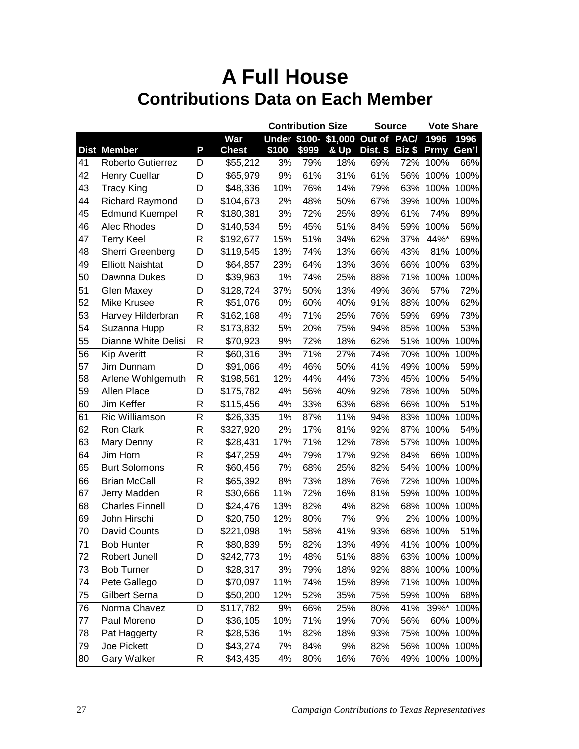|                                                    |                                                                                                                                                         |                                           |                                                                                                            | <b>Contribution Size</b>                              |                                                             | <b>Source</b>                                              |                                                             | <b>Vote Share</b>               |                                                                                                              |                             |
|----------------------------------------------------|---------------------------------------------------------------------------------------------------------------------------------------------------------|-------------------------------------------|------------------------------------------------------------------------------------------------------------|-------------------------------------------------------|-------------------------------------------------------------|------------------------------------------------------------|-------------------------------------------------------------|---------------------------------|--------------------------------------------------------------------------------------------------------------|-----------------------------|
|                                                    |                                                                                                                                                         |                                           | War                                                                                                        |                                                       |                                                             |                                                            | Under \$100- \$1,000 Out of PAC/                            |                                 | 1996                                                                                                         | 1996                        |
|                                                    | <b>Dist Member</b>                                                                                                                                      | P                                         | <b>Chest</b>                                                                                               | \$100                                                 | \$999                                                       | & Up                                                       | Dist. \$                                                    | Biz \$                          | Prmy                                                                                                         | Gen'l                       |
| 41                                                 | Roberto Gutierrez                                                                                                                                       | D                                         | \$55,212                                                                                                   | 3%                                                    | 79%                                                         | 18%                                                        | 69%                                                         | 72%                             | 100%                                                                                                         | 66%                         |
| 42                                                 | Henry Cuellar                                                                                                                                           | D                                         | \$65,979                                                                                                   | 9%                                                    | 61%                                                         | 31%                                                        | 61%                                                         | 56%                             | 100%                                                                                                         | 100%                        |
| 43                                                 | <b>Tracy King</b>                                                                                                                                       | D                                         | \$48,336                                                                                                   | 10%                                                   | 76%                                                         | 14%                                                        | 79%                                                         | 63%                             | 100%                                                                                                         | 100%                        |
| 44                                                 | Richard Raymond                                                                                                                                         | D                                         | \$104,673                                                                                                  | 2%                                                    | 48%                                                         | 50%                                                        | 67%                                                         | 39%                             | 100%                                                                                                         | 100%                        |
| 45                                                 | <b>Edmund Kuempel</b>                                                                                                                                   | R                                         | \$180,381                                                                                                  | 3%                                                    | 72%                                                         | 25%                                                        | 89%                                                         | 61%                             | 74%                                                                                                          | 89%                         |
| 46                                                 | Alec Rhodes                                                                                                                                             | D                                         | \$140,534                                                                                                  | 5%                                                    | 45%                                                         | 51%                                                        | 84%                                                         | 59%                             | 100%                                                                                                         | 56%                         |
| 47                                                 | <b>Terry Keel</b>                                                                                                                                       | R                                         | \$192,677                                                                                                  | 15%                                                   | 51%                                                         | 34%                                                        | 62%                                                         | 37%                             | 44%*                                                                                                         | 69%                         |
| 48                                                 | Sherri Greenberg                                                                                                                                        | D                                         | \$119,545                                                                                                  | 13%                                                   | 74%                                                         | 13%                                                        | 66%                                                         | 43%                             | 81%                                                                                                          | 100%                        |
| 49                                                 | <b>Elliott Naishtat</b>                                                                                                                                 | D                                         | \$64,857                                                                                                   | 23%                                                   | 64%                                                         | 13%                                                        | 36%                                                         | 66%                             | 100%                                                                                                         | 63%                         |
| 50                                                 | Dawnna Dukes                                                                                                                                            | D                                         | \$39,963                                                                                                   | 1%                                                    | 74%                                                         | 25%                                                        | 88%                                                         | 71%                             | 100%                                                                                                         | 100%                        |
| 51                                                 | Glen Maxey                                                                                                                                              | D                                         | \$128,724                                                                                                  | 37%                                                   | 50%                                                         | 13%                                                        | 49%                                                         | 36%                             | 57%                                                                                                          | 72%                         |
| 52                                                 | Mike Krusee                                                                                                                                             | R                                         | \$51,076                                                                                                   | 0%                                                    | 60%                                                         | 40%                                                        | 91%                                                         | 88%                             | 100%                                                                                                         | 62%                         |
| 53                                                 | Harvey Hilderbran                                                                                                                                       | R                                         | \$162,168                                                                                                  | 4%                                                    | 71%                                                         | 25%                                                        | 76%                                                         | 59%                             | 69%                                                                                                          | 73%                         |
| 54                                                 | Suzanna Hupp                                                                                                                                            | R                                         | \$173,832                                                                                                  | 5%                                                    | 20%                                                         | 75%                                                        | 94%                                                         | 85%                             | 100%                                                                                                         | 53%                         |
| 55                                                 | Dianne White Delisi                                                                                                                                     | R                                         | \$70,923                                                                                                   | 9%                                                    | 72%                                                         | 18%                                                        | 62%                                                         | 51%                             | 100%                                                                                                         | 100%                        |
| 56                                                 | <b>Kip Averitt</b>                                                                                                                                      | R                                         | \$60,316                                                                                                   | 3%                                                    | 71%                                                         | 27%                                                        | 74%                                                         | 70%                             | 100%                                                                                                         | 100%                        |
| 57                                                 | Jim Dunnam                                                                                                                                              | D                                         | \$91,066                                                                                                   | 4%                                                    | 46%                                                         | 50%                                                        | 41%                                                         | 49%                             | 100%                                                                                                         | 59%                         |
| 58                                                 | Arlene Wohlgemuth                                                                                                                                       | R                                         | \$198,561                                                                                                  | 12%                                                   | 44%                                                         | 44%                                                        | 73%                                                         | 45%                             | 100%                                                                                                         | 54%                         |
| 59                                                 | Allen Place                                                                                                                                             | D                                         | \$175,782                                                                                                  | 4%                                                    | 56%                                                         | 40%                                                        | 92%                                                         | 78%                             | 100%                                                                                                         | 50%                         |
| 60                                                 | Jim Keffer                                                                                                                                              | R                                         | \$115,456                                                                                                  | 4%                                                    | 33%                                                         | 63%                                                        | 68%                                                         | 66%                             | 100%                                                                                                         | 51%                         |
| 61                                                 | Ric Williamson                                                                                                                                          | R                                         | \$26,335                                                                                                   | 1%                                                    | 87%                                                         | 11%                                                        | 94%                                                         | 83%                             | 100%                                                                                                         | 100%                        |
| 62                                                 | Ron Clark                                                                                                                                               | R                                         | \$327,920                                                                                                  | 2%                                                    | 17%                                                         | 81%                                                        | 92%                                                         | 87%                             | 100%                                                                                                         | 54%                         |
| 63                                                 | Mary Denny                                                                                                                                              | R                                         | \$28,431                                                                                                   | 17%                                                   | 71%                                                         | 12%                                                        | 78%                                                         | 57%                             | 100%                                                                                                         | 100%                        |
| 64                                                 | Jim Horn                                                                                                                                                | R                                         | \$47,259                                                                                                   | 4%                                                    | 79%                                                         | 17%                                                        | 92%                                                         | 84%                             | 66%                                                                                                          | 100%                        |
| 65                                                 | <b>Burt Solomons</b>                                                                                                                                    | R                                         | \$60,456                                                                                                   | 7%                                                    | 68%                                                         | 25%                                                        | 82%                                                         | 54%                             | 100%                                                                                                         | 100%                        |
| 66                                                 | <b>Brian McCall</b>                                                                                                                                     | R                                         | \$65,392                                                                                                   | 8%                                                    | 73%                                                         | 18%                                                        | 76%                                                         | 72%                             | 100%                                                                                                         | 100%                        |
| 67                                                 | Jerry Madden                                                                                                                                            | R                                         | \$30,666                                                                                                   | 11%                                                   | 72%                                                         | 16%                                                        | 81%                                                         | 59%                             | 100%                                                                                                         | 100%                        |
| 68                                                 | <b>Charles Finnell</b>                                                                                                                                  | D                                         | \$24,476                                                                                                   | 13%                                                   | 82%                                                         | 4%                                                         | 82%                                                         | 68%                             | 100%                                                                                                         | 100%                        |
| 69                                                 | John Hirschi                                                                                                                                            | D                                         | \$20,750                                                                                                   | 12%                                                   | 80%                                                         | 7%                                                         | 9%                                                          | 2%                              | 100%                                                                                                         | 100%                        |
| 70                                                 | David Counts                                                                                                                                            | D                                         | \$221,098                                                                                                  | 1%                                                    | 58%                                                         | 41%                                                        | 93%                                                         | 68%                             | 100%                                                                                                         | 51%                         |
| 71                                                 | <b>Bob Hunter</b>                                                                                                                                       | R                                         | \$80,839                                                                                                   | 5%                                                    | 82%                                                         | 13%                                                        | 49%                                                         |                                 | 41% 100% 100%                                                                                                |                             |
|                                                    |                                                                                                                                                         |                                           |                                                                                                            |                                                       |                                                             |                                                            |                                                             |                                 |                                                                                                              |                             |
|                                                    |                                                                                                                                                         |                                           |                                                                                                            |                                                       |                                                             |                                                            |                                                             |                                 |                                                                                                              |                             |
|                                                    |                                                                                                                                                         |                                           |                                                                                                            |                                                       |                                                             |                                                            |                                                             |                                 |                                                                                                              |                             |
|                                                    |                                                                                                                                                         |                                           |                                                                                                            |                                                       |                                                             |                                                            |                                                             |                                 |                                                                                                              |                             |
|                                                    |                                                                                                                                                         |                                           |                                                                                                            |                                                       |                                                             |                                                            |                                                             |                                 |                                                                                                              |                             |
|                                                    |                                                                                                                                                         |                                           |                                                                                                            |                                                       |                                                             |                                                            |                                                             |                                 |                                                                                                              |                             |
|                                                    |                                                                                                                                                         |                                           |                                                                                                            |                                                       |                                                             |                                                            |                                                             |                                 |                                                                                                              |                             |
|                                                    |                                                                                                                                                         |                                           |                                                                                                            |                                                       |                                                             |                                                            |                                                             |                                 |                                                                                                              |                             |
|                                                    |                                                                                                                                                         |                                           |                                                                                                            |                                                       |                                                             |                                                            |                                                             |                                 |                                                                                                              |                             |
| 72<br>73<br>74<br>75<br>76<br>77<br>78<br>79<br>80 | Robert Junell<br><b>Bob Turner</b><br>Pete Gallego<br>Gilbert Serna<br>Norma Chavez<br>Paul Moreno<br>Pat Haggerty<br>Joe Pickett<br><b>Gary Walker</b> | D<br>D<br>D<br>D<br>D<br>D<br>R<br>D<br>R | \$242,773<br>\$28,317<br>\$70,097<br>\$50,200<br>\$117,782<br>\$36,105<br>\$28,536<br>\$43,274<br>\$43,435 | 1%<br>3%<br>11%<br>12%<br>9%<br>10%<br>1%<br>7%<br>4% | 48%<br>79%<br>74%<br>52%<br>66%<br>71%<br>82%<br>84%<br>80% | 51%<br>18%<br>15%<br>35%<br>25%<br>19%<br>18%<br>9%<br>16% | 88%<br>92%<br>89%<br>75%<br>80%<br>70%<br>93%<br>82%<br>76% | 71%<br>59%<br>41%<br>56%<br>75% | 63% 100% 100%<br>88% 100% 100%<br>100% 100%<br>100%<br>39%*<br>60%<br>100%<br>56% 100% 100%<br>49% 100% 100% | 68%<br>100%<br>100%<br>100% |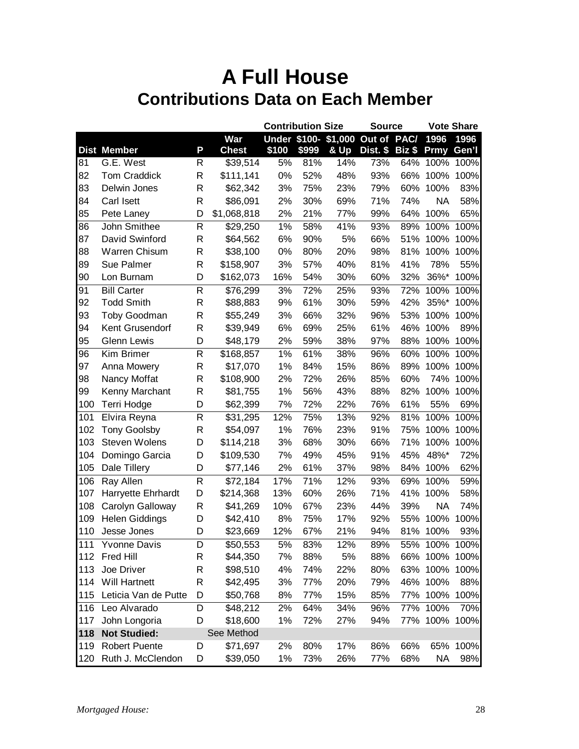|      |                       |              |              |       | <b>Contribution Size</b> |      | <b>Source</b>                    |                     | <b>Vote Share</b> |       |
|------|-----------------------|--------------|--------------|-------|--------------------------|------|----------------------------------|---------------------|-------------------|-------|
|      |                       |              | War          |       |                          |      | Under \$100- \$1,000 Out of PAC/ |                     | 1996              | 1996  |
|      | <b>Dist Member</b>    | P            | <b>Chest</b> | \$100 | \$999                    | & Up | Dist. \$                         | $Big$ $\frac{1}{2}$ | <b>Prmy</b>       | Gen'l |
| 81   | G.E. West             | R            | \$39,514     | 5%    | 81%                      | 14%  | 73%                              | 64%                 | 100%              | 100%  |
| 82   | <b>Tom Craddick</b>   | R            | \$111,141    | 0%    | 52%                      | 48%  | 93%                              | 66%                 | 100%              | 100%  |
| 83   | Delwin Jones          | R            | \$62,342     | 3%    | 75%                      | 23%  | 79%                              | 60%                 | 100%              | 83%   |
| 84   | Carl Isett            | R            | \$86,091     | 2%    | 30%                      | 69%  | 71%                              | 74%                 | <b>NA</b>         | 58%   |
| 85   | Pete Laney            | D            | \$1,068,818  | 2%    | 21%                      | 77%  | 99%                              | 64%                 | 100%              | 65%   |
| 86   | John Smithee          | $\mathsf{R}$ | \$29,250     | 1%    | 58%                      | 41%  | 93%                              | 89%                 | 100%              | 100%  |
| 87   | David Swinford        | R            | \$64,562     | 6%    | 90%                      | 5%   | 66%                              | 51%                 | 100%              | 100%  |
| 88   | Warren Chisum         | R            | \$38,100     | 0%    | 80%                      | 20%  | 98%                              | 81%                 | 100%              | 100%  |
| 89   | Sue Palmer            | R            | \$158,907    | 3%    | 57%                      | 40%  | 81%                              | 41%                 | 78%               | 55%   |
| 90   | Lon Burnam            | D            | \$162,073    | 16%   | 54%                      | 30%  | 60%                              | 32%                 | 36%*              | 100%  |
| 91   | <b>Bill Carter</b>    | R            | \$76,299     | 3%    | 72%                      | 25%  | 93%                              | 72%                 | 100%              | 100%  |
| 92   | <b>Todd Smith</b>     | R            | \$88,883     | 9%    | 61%                      | 30%  | 59%                              | 42%                 | 35%*              | 100%  |
| 93   | Toby Goodman          | R            | \$55,249     | 3%    | 66%                      | 32%  | 96%                              | 53%                 | 100%              | 100%  |
| 94   | Kent Grusendorf       | R            | \$39,949     | 6%    | 69%                      | 25%  | 61%                              | 46%                 | 100%              | 89%   |
| 95   | Glenn Lewis           | D            | \$48,179     | 2%    | 59%                      | 38%  | 97%                              | 88%                 | 100%              | 100%  |
| 96   | Kim Brimer            | R            | \$168,857    | 1%    | 61%                      | 38%  | 96%                              | 60%                 | 100%              | 100%  |
| 97   | Anna Mowery           | R            | \$17,070     | 1%    | 84%                      | 15%  | 86%                              | 89%                 | 100%              | 100%  |
| 98   | Nancy Moffat          | R            | \$108,900    | 2%    | 72%                      | 26%  | 85%                              | 60%                 | 74%               | 100%  |
| 99   | Kenny Marchant        | R            | \$81,755     | 1%    | 56%                      | 43%  | 88%                              | 82%                 | 100%              | 100%  |
| 100  | Terri Hodge           | D            | \$62,399     | 7%    | 72%                      | 22%  | 76%                              | 61%                 | 55%               | 69%   |
| 101  | Elvira Reyna          | R            | \$31,295     | 12%   | 75%                      | 13%  | 92%                              | 81%                 | 100%              | 100%  |
| 102  | <b>Tony Goolsby</b>   | R            | \$54,097     | 1%    | 76%                      | 23%  | 91%                              | 75%                 | 100%              | 100%  |
| 103  | Steven Wolens         | D            | \$114,218    | 3%    | 68%                      | 30%  | 66%                              | 71%                 | 100%              | 100%  |
| 104  | Domingo Garcia        | D            | \$109,530    | 7%    | 49%                      | 45%  | 91%                              | 45%                 | 48%*              | 72%   |
| 105  | Dale Tillery          | D            | \$77,146     | 2%    | 61%                      | 37%  | 98%                              | 84%                 | 100%              | 62%   |
| 106  | Ray Allen             | $\mathsf{R}$ | \$72,184     | 17%   | 71%                      | 12%  | 93%                              | 69%                 | 100%              | 59%   |
| 107  | Harryette Ehrhardt    | D            | \$214,368    | 13%   | 60%                      | 26%  | 71%                              | 41%                 | 100%              | 58%   |
| 108  | Carolyn Galloway      | R            | \$41,269     | 10%   | 67%                      | 23%  | 44%                              | 39%                 | <b>NA</b>         | 74%   |
| 109  | <b>Helen Giddings</b> | D            | \$42,410     | 8%    | 75%                      | 17%  | 92%                              | 55%                 | 100%              | 100%  |
| 110  | Jesse Jones           | D            | \$23,669     | 12%   | 67%                      | 21%  | 94%                              | 81%                 | 100%              | 93%   |
| 1111 | <b>Yvonne Davis</b>   | D            | \$50,553     | 5%    | 83%                      | 12%  | 89%                              |                     | 55% 100% 100%     |       |
|      | 112 Fred Hill         | R            | \$44,350     | 7%    | 88%                      | 5%   | 88%                              |                     | 66% 100% 100%     |       |
| 113  | Joe Driver            | R            | \$98,510     | 4%    | 74%                      | 22%  | 80%                              |                     | 63% 100%          | 100%  |
| 114  | Will Hartnett         | R            | \$42,495     | 3%    | 77%                      | 20%  | 79%                              |                     | 46% 100%          | 88%   |
| 115  | Leticia Van de Putte  | D            | \$50,768     | 8%    | 77%                      | 15%  | 85%                              |                     | 77% 100%          | 100%  |
| 116  | Leo Alvarado          | D            | \$48,212     | 2%    | 64%                      | 34%  | 96%                              |                     | 77% 100%          | 70%   |
| 117  | John Longoria         | D            | \$18,600     | 1%    | 72%                      | 27%  | 94%                              |                     | 77% 100% 100%     |       |
| 118  | <b>Not Studied:</b>   |              | See Method   |       |                          |      |                                  |                     |                   |       |
| 119  | <b>Robert Puente</b>  | D            | \$71,697     | 2%    | 80%                      | 17%  | 86%                              | 66%                 | 65%               | 100%  |
| 120  | Ruth J. McClendon     | D            | \$39,050     | 1%    | 73%                      | 26%  | 77%                              | 68%                 | <b>NA</b>         | 98%   |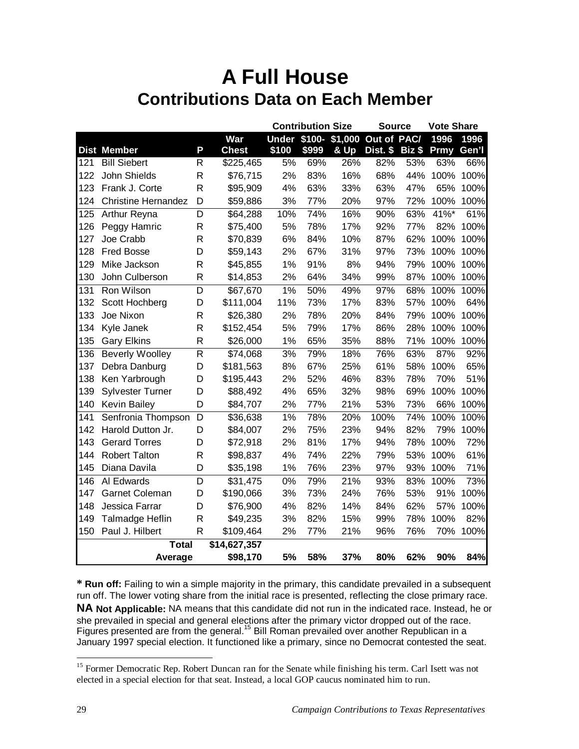|     |                            |              |              |                  | <b>Contribution Size</b> |                     |             | <b>Source</b> |      | <b>Vote Share</b> |  |
|-----|----------------------------|--------------|--------------|------------------|--------------------------|---------------------|-------------|---------------|------|-------------------|--|
|     |                            |              | War          |                  |                          | Under \$100-\$1,000 | Out of PAC/ |               | 1996 | 1996              |  |
|     | <b>Dist Member</b>         | P            | <b>Chest</b> | \$100            | \$999                    | & Up                | Dist. \$    | Biz \$        | Prmy | Gen'l             |  |
| 121 | <b>Bill Siebert</b>        | R            | \$225,465    | 5%               | 69%                      | 26%                 | 82%         | 53%           | 63%  | 66%               |  |
| 122 | John Shields               | $\mathsf{R}$ | \$76,715     | 2%               | 83%                      | 16%                 | 68%         | 44%           | 100% | 100%              |  |
| 123 | Frank J. Corte             | $\mathsf{R}$ | \$95,909     | 4%               | 63%                      | 33%                 | 63%         | 47%           | 65%  | 100%              |  |
| 124 | <b>Christine Hernandez</b> | D            | \$59,886     | 3%               | 77%                      | 20%                 | 97%         | 72%           | 100% | 100%              |  |
| 125 | Arthur Reyna               | D            | \$64,288     | 10%              | 74%                      | 16%                 | 90%         | 63%           | 41%* | 61%               |  |
| 126 | Peggy Hamric               | R            | \$75,400     | 5%               | 78%                      | 17%                 | 92%         | 77%           | 82%  | 100%              |  |
| 127 | Joe Crabb                  | $\mathsf R$  | \$70,839     | 6%               | 84%                      | 10%                 | 87%         | 62%           | 100% | 100%              |  |
| 128 | <b>Fred Bosse</b>          | D            | \$59,143     | 2%               | 67%                      | 31%                 | 97%         | 73%           | 100% | 100%              |  |
| 129 | Mike Jackson               | R            | \$45,855     | 1%               | 91%                      | 8%                  | 94%         | 79%           | 100% | 100%              |  |
| 130 | John Culberson             | R            | \$14,853     | 2%               | 64%                      | 34%                 | 99%         | 87%           | 100% | 100%              |  |
| 131 | Ron Wilson                 | D            | \$67,670     | 1%               | 50%                      | 49%                 | 97%         | 68%           | 100% | 100%              |  |
| 132 | Scott Hochberg             | D            | \$111,004    | 11%              | 73%                      | 17%                 | 83%         | 57%           | 100% | 64%               |  |
| 133 | Joe Nixon                  | R            | \$26,380     | 2%               | 78%                      | 20%                 | 84%         | 79%           | 100% | 100%              |  |
| 134 | Kyle Janek                 | R            | \$152,454    | 5%               | 79%                      | 17%                 | 86%         | 28%           | 100% | 100%              |  |
| 135 | <b>Gary Elkins</b>         | $\mathsf R$  | \$26,000     | 1%               | 65%                      | 35%                 | 88%         | 71%           | 100% | 100%              |  |
| 136 | <b>Beverly Woolley</b>     | R            | \$74,068     | $\overline{3}\%$ | 79%                      | 18%                 | 76%         | 63%           | 87%  | 92%               |  |
| 137 | Debra Danburg              | D            | \$181,563    | 8%               | 67%                      | 25%                 | 61%         | 58%           | 100% | 65%               |  |
| 138 | Ken Yarbrough              | D            | \$195,443    | 2%               | 52%                      | 46%                 | 83%         | 78%           | 70%  | 51%               |  |
| 139 | <b>Sylvester Turner</b>    | D            | \$88,492     | 4%               | 65%                      | 32%                 | 98%         | 69%           | 100% | 100%              |  |
| 140 | <b>Kevin Bailey</b>        | D            | \$84,707     | 2%               | 77%                      | 21%                 | 53%         | 73%           | 66%  | 100%              |  |
| 141 | Senfronia Thompson         | D            | \$36,638     | 1%               | 78%                      | 20%                 | 100%        | 74%           | 100% | 100%              |  |
| 142 | Harold Dutton Jr.          | D            | \$84,007     | 2%               | 75%                      | 23%                 | 94%         | 82%           | 79%  | 100%              |  |
| 143 | <b>Gerard Torres</b>       | D            | \$72,918     | 2%               | 81%                      | 17%                 | 94%         | 78%           | 100% | 72%               |  |
| 144 | <b>Robert Talton</b>       | R            | \$98,837     | 4%               | 74%                      | 22%                 | 79%         | 53%           | 100% | 61%               |  |
| 145 | Diana Davila               | D            | \$35,198     | 1%               | 76%                      | 23%                 | 97%         | 93%           | 100% | 71%               |  |
| 146 | Al Edwards                 | D            | \$31,475     | 0%               | 79%                      | 21%                 | 93%         | 83%           | 100% | 73%               |  |
| 147 | <b>Garnet Coleman</b>      | D            | \$190,066    | 3%               | 73%                      | 24%                 | 76%         | 53%           | 91%  | 100%              |  |
| 148 | Jessica Farrar             | D            | \$76,900     | 4%               | 82%                      | 14%                 | 84%         | 62%           | 57%  | 100%              |  |
| 149 | Talmadge Heflin            | $\mathsf R$  | \$49,235     | 3%               | 82%                      | 15%                 | 99%         | 78%           | 100% | 82%               |  |
| 150 | Paul J. Hilbert            | R            | \$109,464    | 2%               | 77%                      | 21%                 | 96%         | 76%           | 70%  | 100%              |  |
|     | <b>Total</b>               |              | \$14,627,357 |                  |                          |                     |             |               |      |                   |  |
|     | Average                    |              | \$98,170     | 5%               | 58%                      | 37%                 | 80%         | 62%           | 90%  | 84%               |  |

**\* Run off:** Failing to win a simple majority in the primary, this candidate prevailed in a subsequent run off. The lower voting share from the initial race is presented, reflecting the close primary race. **NA Not Applicable:** NA means that this candidate did not run in the indicated race. Instead, he or she prevailed in special and general elections after the primary victor dropped out of the race. Figures presented are from the general.<sup>15</sup> Bill Roman prevailed over another Republican in a January 1997 special election. It functioned like a primary, since no Democrat contested the seat.

<sup>&</sup>lt;sup>15</sup> Former Democratic Rep. Robert Duncan ran for the Senate while finishing his term. Carl Isett was not elected in a special election for that seat. Instead, a local GOP caucus nominated him to run.